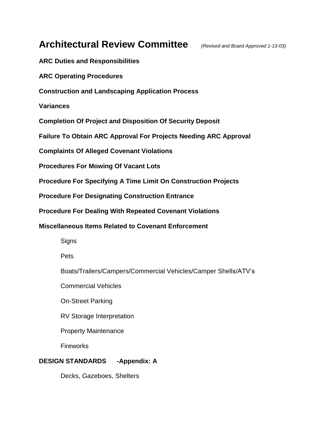# **Architectural Review Committee** *(Revised and Board Approved 1-13-03)*

**ARC Duties and Responsibilities**

**ARC [Operating Procedures](http://www.sugarcreekpoa.org/arcprocedures.htm#procedures)**

**Construction and Landscaping Application Process**

**Variances**

**Completion Of Project and Disposition Of Security Deposit**

**Failure To Obtain ARC Approval For Projects Needing ARC Approval**

**Complaints Of Alleged Covenant Violations**

**Procedures For Mowing Of Vacant Lots**

**Procedure For Specifying A Time Limit On Construction Projects**

**Procedure For Designating Construction Entrance**

**Procedure For Dealing With Repeated Covenant Violations**

**Miscellaneous Items Related to Covenant Enforcement**

**Signs** 

Pets

Boats/Trailers/Campers/Commercial Vehicles/Camper Shells/ATV's

Commercial Vehicles

On-Street Parking

RV Storage Interpretation

Property Maintenance

**Fireworks** 

### **DESIGN STANDARDS -Appendix: A**

Decks, Gazeboes, Shelters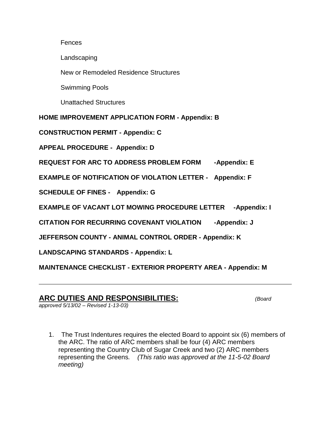### **Fences**

Landscaping

New or Remodeled Residence Structures

Swimming Pools

Unattached Structures

**HOME IMPROVEMENT APPLICATION FORM - Appendix: B**

**CONSTRUCTION PERMIT - Appendix: C**

**APPEAL PROCEDURE - Appendix: D**

**REQUEST FOR ARC TO ADDRESS PROBLEM FORM -Appendix: E**

**EXAMPLE OF NOTIFICATION OF VIOLATION LETTER - Appendix: F**

**SCHEDULE OF FINES - Appendix: G**

**EXAMPLE OF VACANT LOT MOWING PROCEDURE LETTER -Appendix: I** 

**CITATION FOR RECURRING COVENANT VIOLATION -Appendix: J** 

**JEFFERSON COUNTY - ANIMAL CONTROL ORDER - Appendix: K**

**LANDSCAPING STANDARDS - Appendix: L**

**MAINTENANCE CHECKLIST - EXTERIOR PROPERTY AREA - Appendix: M**

### **ARC DUTIES AND RESPONSIBILITIES:** *(Board*

*approved 5/13/02 – Revised 1-13-03)*

1. The Trust Indentures requires the elected Board to appoint six (6) members of the ARC. The ratio of ARC members shall be four (4) ARC members representing the Country Club of Sugar Creek and two (2) ARC members representing the Greens*. (This ratio was approved at the 11-5-02 Board meeting)*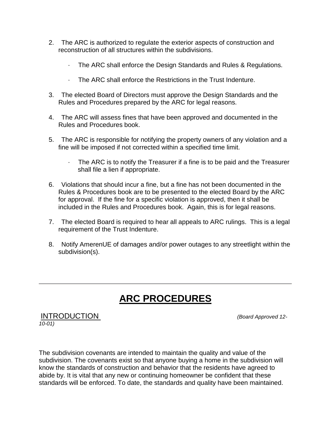- 2. The ARC is authorized to regulate the exterior aspects of construction and reconstruction of all structures within the subdivisions.
	- · The ARC shall enforce the Design Standards and Rules & Regulations.
	- · The ARC shall enforce the Restrictions in the Trust Indenture.
- 3. The elected Board of Directors must approve the Design Standards and the Rules and Procedures prepared by the ARC for legal reasons.
- 4. The ARC will assess fines that have been approved and documented in the Rules and Procedures book.
- 5. The ARC is responsible for notifying the property owners of any violation and a fine will be imposed if not corrected within a specified time limit.
	- · The ARC is to notify the Treasurer if a fine is to be paid and the Treasurer shall file a lien if appropriate.
- 6. Violations that should incur a fine, but a fine has not been documented in the Rules & Procedures book are to be presented to the elected Board by the ARC for approval. If the fine for a specific violation is approved, then it shall be included in the Rules and Procedures book. Again, this is for legal reasons.
- 7. The elected Board is required to hear all appeals to ARC rulings. This is a legal requirement of the Trust Indenture.
- 8. Notify AmerenUE of damages and/or power outages to any streetlight within the subdivision(s).

# **ARC PROCEDURES**

INTRODUCTION *(Board Approved 12- 10-01)*

The subdivision covenants are intended to maintain the quality and value of the subdivision. The covenants exist so that anyone buying a home in the subdivision will know the standards of construction and behavior that the residents have agreed to abide by. It is vital that any new or continuing homeowner be confident that these standards will be enforced. To date, the standards and quality have been maintained.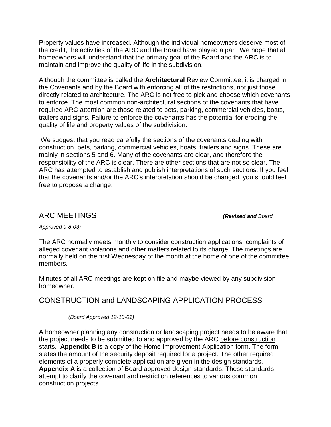Property values have increased. Although the individual homeowners deserve most of the credit, the activities of the ARC and the Board have played a part. We hope that all homeowners will understand that the primary goal of the Board and the ARC is to maintain and improve the quality of life in the subdivision.

Although the committee is called the **Architectural** Review Committee, it is charged in the Covenants and by the Board with enforcing all of the restrictions, not just those directly related to architecture. The ARC is not free to pick and choose which covenants to enforce. The most common non-architectural sections of the covenants that have required ARC attention are those related to pets, parking, commercial vehicles, boats, trailers and signs. Failure to enforce the covenants has the potential for eroding the quality of life and property values of the subdivision.

We suggest that you read carefully the sections of the covenants dealing with construction, pets, parking, commercial vehicles, boats, trailers and signs. These are mainly in sections 5 and 6. Many of the covenants are clear, and therefore the responsibility of the ARC is clear. There are other sections that are not so clear. The ARC has attempted to establish and publish interpretations of such sections. If you feel that the covenants and/or the ARC's interpretation should be changed, you should feel free to propose a change.

### ARC MEETINGS *(Revised and Board*

*Approved 9-8-03)*

The ARC normally meets monthly to consider construction applications, complaints of alleged covenant violations and other matters related to its charge. The meetings are normally held on the first Wednesday of the month at the home of one of the committee members.

Minutes of all ARC meetings are kept on file and maybe viewed by any subdivision homeowner.

### CONSTRUCTION and LANDSCAPING APPLICATION PROCESS

*(Board Approved 12-10-01)*

A homeowner planning any construction or landscaping project needs to be aware that the project needs to be submitted to and approved by the ARC before construction starts. **[Appendix B](http://www.sugarcreekpoa.org/forms2appB.htm)** is a copy of the Home Improvement Application form. The form states the amount of the security deposit required for a project. The other required elements of a properly complete application are given in the design standards. **[Appendix A](http://www.sugarcreekpoa.org/arcprocedures.htm#appendixa)** is a collection of Board approved design standards. These standards attempt to clarify the covenant and restriction references to various common construction projects.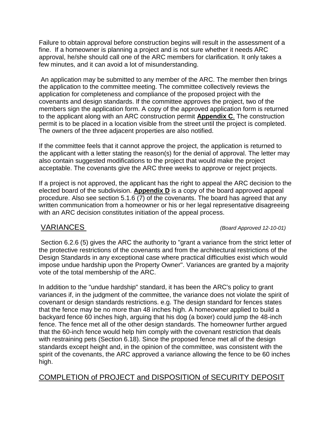Failure to obtain approval before construction begins will result in the assessment of a fine. If a homeowner is planning a project and is not sure whether it needs ARC approval, he/she should call one of the ARC members for clarification. It only takes a few minutes, and it can avoid a lot of misunderstanding.

An application may be submitted to any member of the ARC. The member then brings the application to the committee meeting. The committee collectively reviews the application for completeness and compliance of the proposed project with the covenants and design standards. If the committee approves the project, two of the members sign the application form. A copy of the approved application form is returned to the applicant along with an ARC construction permit **[Appendix C](http://www.sugarcreekpoa.org/forms2appC.htm)**[.](http://www.sugarcreekpoa.org/forms2appC.htm) The construction permit is to be placed in a location visible from the street until the project is completed. The owners of the three adjacent properties are also notified.

If the committee feels that it cannot approve the project, the application is returned to the applicant with a letter stating the reason(s) for the denial of approval. The letter may also contain suggested modifications to the project that would make the project acceptable. The covenants give the ARC three weeks to approve or reject projects.

If a project is not approved, the applicant has the right to appeal the ARC decision to the elected board of the subdivision. **[Appendix D](http://www.sugarcreekpoa.org/arcprocedures.htm#appendixd)** is a copy of the board approved appeal procedure. Also see section 5.1.6 (7) of the covenants. The board has agreed that any written communication from a homeowner or his or her legal representative disagreeing with an ARC decision constitutes initiation of the appeal process.

VARIANCES *(Board Approved 12-10-01)*

Section 6.2.6 (5) gives the ARC the authority to "grant a variance from the strict letter of the protective restrictions of the covenants and from the architectural restrictions of the Design Standards in any exceptional case where practical difficulties exist which would impose undue hardship upon the Property Owner". Variances are granted by a majority vote of the total membership of the ARC.

In addition to the "undue hardship" standard, it has been the ARC's policy to grant variances if, in the judgment of the committee, the variance does not violate the spirit of covenant or design standards restrictions. e.g. The design standard for fences states that the fence may be no more than 48 inches high. A homeowner applied to build a backyard fence 60 inches high, arguing that his dog (a boxer) could jump the 48-inch fence. The fence met all of the other design standards. The homeowner further argued that the 60-inch fence would help him comply with the covenant restriction that deals with restraining pets (Section 6.18). Since the proposed fence met all of the design standards except height and, in the opinion of the committee, was consistent with the spirit of the covenants, the ARC approved a variance allowing the fence to be 60 inches high.

## COMPLETION of PROJECT and DISPOSITION of SECURITY DEPOSIT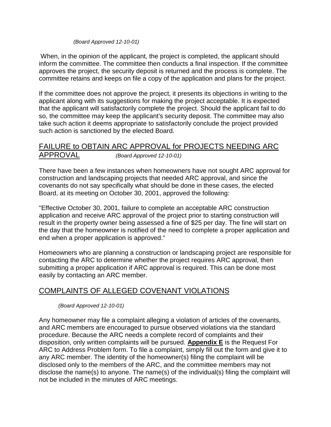### *(Board Approved 12-10-01)*

When, in the opinion of the applicant, the project is completed, the applicant should inform the committee. The committee then conducts a final inspection. If the committee approves the project, the security deposit is returned and the process is complete. The committee retains and keeps on file a copy of the application and plans for the project.

If the committee does not approve the project, it presents its objections in writing to the applicant along with its suggestions for making the project acceptable. It is expected that the applicant will satisfactorily complete the project. Should the applicant fail to do so, the committee may keep the applicant's security deposit. The committee may also take such action it deems appropriate to satisfactorily conclude the project provided such action is sanctioned by the elected Board.

### FAILURE to OBTAIN ARC APPROVAL for PROJECTS NEEDING ARC APPROVAL *(Board Approved 12-10-01)*

There have been a few instances when homeowners have not sought ARC approval for construction and landscaping projects that needed ARC approval, and since the covenants do not say specifically what should be done in these cases, the elected Board, at its meeting on October 30, 2001, approved the following:

"Effective October 30, 2001, failure to complete an acceptable ARC construction application and receive ARC approval of the project prior to starting construction will result in the property owner being assessed a fine of \$25 per day. The fine will start on the day that the homeowner is notified of the need to complete a proper application and end when a proper application is approved."

Homeowners who are planning a construction or landscaping project are responsible for contacting the ARC to determine whether the project requires ARC approval, then submitting a proper application if ARC approval is required. This can be done most easily by contacting an ARC member.

### COMPLAINTS OF ALLEGED COVENANT VIOLATIONS

*(Board Approved 12-10-01)*

Any homeowner may file a complaint alleging a violation of articles of the covenants, and ARC members are encouraged to pursue observed violations via the standard procedure. Because the ARC needs a complete record of complaints and their disposition, only written complaints will be pursued. **[Appendix E](http://www.sugarcreekpoa.org/forms2appE.htm)** is the Request For ARC to Address Problem form. To file a complaint, simply fill out the form and give it to any ARC member. The identity of the homeowner(s) filing the complaint will be disclosed only to the members of the ARC, and the committee members may not disclose the name(s) to anyone. The name(s) of the individual(s) filing the complaint will not be included in the minutes of ARC meetings.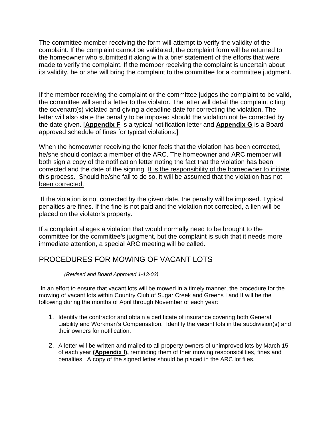The committee member receiving the form will attempt to verify the validity of the complaint. If the complaint cannot be validated, the complaint form will be returned to the homeowner who submitted it along with a brief statement of the efforts that were made to verify the complaint. If the member receiving the complaint is uncertain about its validity, he or she will bring the complaint to the committee for a committee judgment.

If the member receiving the complaint or the committee judges the complaint to be valid, the committee will send a letter to the violator. The letter will detail the complaint citing the covenant(s) violated and giving a deadline date for correcting the violation. The letter will also state the penalty to be imposed should the violation not be corrected by the date given. [**[Appendix F](http://www.sugarcreekpoa.org/arcprocedures.htm#appendixf)** is a typical notification letter and **[Appendix G](http://www.sugarcreekpoa.org/arcprocedures.htm#appendixg)** is a Board approved schedule of fines for typical violations.]

When the homeowner receiving the letter feels that the violation has been corrected, he/she should contact a member of the ARC. The homeowner and ARC member will both sign a copy of the notification letter noting the fact that the violation has been corrected and the date of the signing. It is the responsibility of the homeowner to initiate this process. Should he/she fail to do so, it will be assumed that the violation has not been corrected.

If the violation is not corrected by the given date, the penalty will be imposed. Typical penalties are fines. If the fine is not paid and the violation not corrected, a lien will be placed on the violator's property.

If a complaint alleges a violation that would normally need to be brought to the committee for the committee's judgment, but the complaint is such that it needs more immediate attention, a special ARC meeting will be called.

### PROCEDURES FOR MOWING OF VACANT LOTS

### *(Revised and Board Approved 1-13-03)*

In an effort to ensure that vacant lots will be mowed in a timely manner, the procedure for the mowing of vacant lots within Country Club of Sugar Creek and Greens I and II will be the following during the months of April through November of each year:

- 1. Identify the contractor and obtain a certificate of insurance covering both General Liability and Workman's Compensation. Identify the vacant lots in the subdivision(s) and their owners for notification.
- 2. A letter will be written and mailed to all property owners of unimproved lots by March 15 of each year **[\(Appendix I\)](http://www.sugarcreekpoa.org/arcprocedures.htm#appendixi),** reminding them of their mowing responsibilities, fines and penalties. A copy of the signed letter should be placed in the ARC lot files.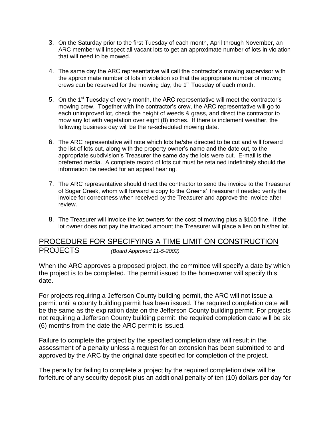- 3. On the Saturday prior to the first Tuesday of each month, April through November, an ARC member will inspect all vacant lots to get an approximate number of lots in violation that will need to be mowed.
- 4. The same day the ARC representative will call the contractor's mowing supervisor with the approximate number of lots in violation so that the appropriate number of mowing crews can be reserved for the mowing day, the  $1<sup>st</sup>$  Tuesday of each month.
- 5. On the  $1<sup>st</sup>$  Tuesday of every month, the ARC representative will meet the contractor's mowing crew. Together with the contractor's crew, the ARC representative will go to each unimproved lot, check the height of weeds & grass, and direct the contractor to mow any lot with vegetation over eight (8) inches. If there is inclement weather, the following business day will be the re-scheduled mowing date.
- 6. The ARC representative will note which lots he/she directed to be cut and will forward the list of lots cut, along with the property owner's name and the date cut, to the appropriate subdivision's Treasurer the same day the lots were cut. E-mail is the preferred media. A complete record of lots cut must be retained indefinitely should the information be needed for an appeal hearing.
- 7. The ARC representative should direct the contractor to send the invoice to the Treasurer of Sugar Creek, whom will forward a copy to the Greens' Treasurer if needed verify the invoice for correctness when received by the Treasurer and approve the invoice after review.
- 8. The Treasurer will invoice the lot owners for the cost of mowing plus a \$100 fine. If the lot owner does not pay the invoiced amount the Treasurer will place a lien on his/her lot.

### PROCEDURE FOR SPECIFYING A TIME LIMIT ON CONSTRUCTION PROJECTS *(Board Approved 11-5-2002)*

When the ARC approves a proposed project, the committee will specify a date by which the project is to be completed. The permit issued to the homeowner will specify this date.

For projects requiring a Jefferson County building permit, the ARC will not issue a permit until a county building permit has been issued. The required completion date will be the same as the expiration date on the Jefferson County building permit. For projects not requiring a Jefferson County building permit, the required completion date will be six (6) months from the date the ARC permit is issued.

Failure to complete the project by the specified completion date will result in the assessment of a penalty unless a request for an extension has been submitted to and approved by the ARC by the original date specified for completion of the project.

The penalty for failing to complete a project by the required completion date will be forfeiture of any security deposit plus an additional penalty of ten (10) dollars per day for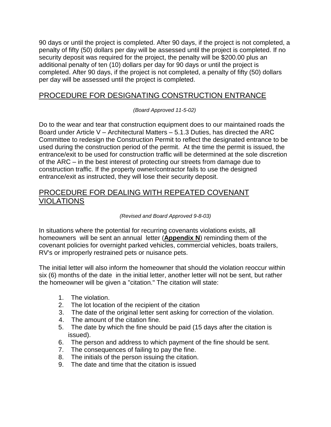90 days or until the project is completed. After 90 days, if the project is not completed, a penalty of fifty (50) dollars per day will be assessed until the project is completed. If no security deposit was required for the project, the penalty will be \$200.00 plus an additional penalty of ten (10) dollars per day for 90 days or until the project is completed. After 90 days, if the project is not completed, a penalty of fifty (50) dollars per day will be assessed until the project is completed.

### PROCEDURE FOR DESIGNATING CONSTRUCTION ENTRANCE

*(Board Approved 11-5-02)*

Do to the wear and tear that construction equipment does to our maintained roads the Board under Article V – Architectural Matters – 5.1.3 Duties, has directed the ARC Committee to redesign the Construction Permit to reflect the designated entrance to be used during the construction period of the permit. At the time the permit is issued, the entrance/exit to be used for construction traffic will be determined at the sole discretion of the ARC – in the best interest of protecting our streets from damage due to construction traffic. If the property owner/contractor fails to use the designed entrance/exit as instructed, they will lose their security deposit.

### PROCEDURE FOR DEALING WITH REPEATED COVENANT VIOLATIONS

### *(Revised and Board Approved 9-8-03)*

In situations where the potential for recurring covenants violations exists, all homeowners will be sent an annual letter (**[Appendix N](http://www.sugarcreekpoa.org/arcprocedures.htm#appendixn)**) reminding them of the covenant policies for overnight parked vehicles, commercial vehicles, boats trailers, RV's or improperly restrained pets or nuisance pets.

The initial letter will also inform the homeowner that should the violation reoccur within six (6) months of the date in the initial letter, another letter will not be sent, but rather the homeowner will be given a "citation." The citation will state:

- 1. The violation.
- 2. The lot location of the recipient of the citation
- 3. The date of the original letter sent asking for correction of the violation.
- 4. The amount of the citation fine.
- 5. The date by which the fine should be paid (15 days after the citation is issued).
- 6. The person and address to which payment of the fine should be sent.
- 7. The consequences of failing to pay the fine.
- 8. The initials of the person issuing the citation.
- 9. The date and time that the citation is issued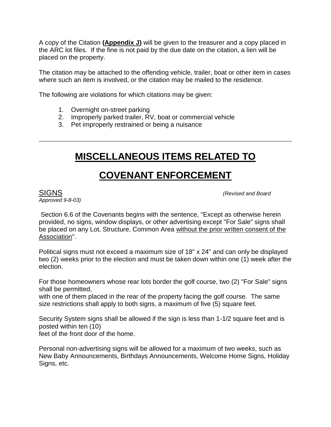A copy of the Citation **[\(Appendix J\)](http://www.sugarcreekpoa.org/arcprocedures.htm#appenidxj)** will be given to the treasurer and a copy placed in the ARC lot files. If the fine is not paid by the due date on the citation, a lien will be placed on the property.

The citation may be attached to the offending vehicle, trailer, boat or other item in cases where such an item is involved, or the citation may be mailed to the residence.

The following are violations for which citations may be given:

- 1. Overnight on-street parking
- 2. Improperly parked trailer, RV, boat or commercial vehicle
- 3. Pet improperly restrained or being a nuisance

# **MISCELLANEOUS ITEMS RELATED TO**

# **COVENANT ENFORCEMENT**

*Approved 9-8-03)*

SIGNS *(Revised and Board* 

Section 6.6 of the Covenants begins with the sentence, "Except as otherwise herein provided, no signs, window displays, or other advertising except "For Sale" signs shall be placed on any Lot, Structure, Common Area without the prior written consent of the Association".

Political signs must not exceed a maximum size of 18" x 24" and can only be displayed two (2) weeks prior to the election and must be taken down within one (1) week after the election.

For those homeowners whose rear lots border the golf course, two (2) "For Sale" signs shall be permitted,

with one of them placed in the rear of the property facing the golf course. The same size restrictions shall apply to both signs, a maximum of five (5) square feet.

Security System signs shall be allowed if the sign is less than 1-1/2 square feet and is posted within ten (10)

feet of the front door of the home.

Personal non-advertising signs will be allowed for a maximum of two weeks, such as New Baby Announcements, Birthdays Announcements, Welcome Home Signs, Holiday Signs, etc.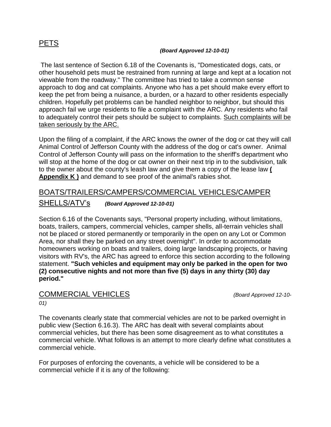### PETS

### *(Board Approved 12-10-01)*

The last sentence of Section 6.18 of the Covenants is, "Domesticated dogs, cats, or other household pets must be restrained from running at large and kept at a location not viewable from the roadway." The committee has tried to take a common sense approach to dog and cat complaints. Anyone who has a pet should make every effort to keep the pet from being a nuisance, a burden, or a hazard to other residents especially children. Hopefully pet problems can be handled neighbor to neighbor, but should this approach fail we urge residents to file a complaint with the ARC. Any residents who fail to adequately control their pets should be subject to complaints. Such complaints will be taken seriously by the ARC.

Upon the filing of a complaint, if the ARC knows the owner of the dog or cat they will call Animal Control of Jefferson County with the address of the dog or cat's owner. Animal Control of Jefferson County will pass on the information to the sheriff's department who will stop at the home of the dog or cat owner on their next trip in to the subdivision, talk to the owner about the county's leash law and give them a copy of the lease law **[\(](http://www.sugarcreekpoa.org/arcprocedures.htm#appendixk)  [Appendix K \)](http://www.sugarcreekpoa.org/arcprocedures.htm#appendixk)** and demand to see proof of the animal's rabies shot.

# BOATS/TRAILERS/CAMPERS/COMMERCIAL VEHICLES/CAMPER

SHELLS/ATV's *(Board Approved 12-10-01)*

Section 6.16 of the Covenants says, "Personal property including, without limitations, boats, trailers, campers, commercial vehicles, camper shells, all-terrain vehicles shall not be placed or stored permanently or temporarily in the open on any Lot or Common Area, nor shall they be parked on any street overnight". In order to accommodate homeowners working on boats and trailers, doing large landscaping projects, or having visitors with RV's, the ARC has agreed to enforce this section according to the following statement. **"Such vehicles and equipment may only be parked in the open for two (2) consecutive nights and not more than five (5) days in any thirty (30) day period."** 

# COMMERCIAL VEHICLES *(Board Approved 12-10-*

*01)*

The covenants clearly state that commercial vehicles are not to be parked overnight in public view (Section 6.16.3). The ARC has dealt with several complaints about commercial vehicles, but there has been some disagreement as to what constitutes a commercial vehicle. What follows is an attempt to more clearly define what constitutes a commercial vehicle.

For purposes of enforcing the covenants, a vehicle will be considered to be a commercial vehicle if it is any of the following: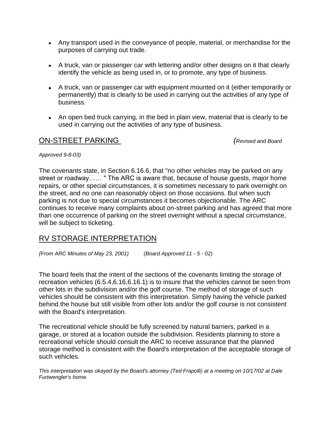- Any transport used in the conveyance of people, material, or merchandise for the purposes of carrying out trade.
- A truck, van or passenger car with lettering and/or other designs on it that clearly identify the vehicle as being used in, or to promote, any type of business.
- A truck, van or passenger car with equipment mounted on it (either temporarily or permanently) that is clearly to be used in carrying out the activities of any type of business.
- An open bed truck carrying, in the bed in plain view, material that is clearly to be used in carrying out the activities of any type of business.

### ON-STREET PARKING *(Revised and Board*

### *Approved 9-8-03)*

The covenants state, in Section 6.16.6, that "no other vehicles may be parked on any street or roadway…… " The ARC is aware that, because of house guests, major home repairs, or other special circumstances, it is sometimes necessary to park overnight on the street, and no one can reasonably object on those occasions. But when such parking is not due to special circumstances it becomes objectionable. The ARC continues to receive many complaints about on-street parking and has agreed that more than one occurrence of parking on the street overnight without a special circumstance, will be subject to ticketing.

### RV STORAGE INTERPRETATION

*{From ARC Minutes of May 23, 2001) (Board Approved 11 - 5 - 02)* 

The board feels that the intent of the sections of the covenants limiting the storage of recreation vehicles (6.5.4,6.16,6.16.1) is to insure that the vehicles cannot be seen from other lots in the subdivision and/or the golf course. The method of storage of such vehicles should be consistent with this interpretation. Simply having the vehicle parked behind the house but still visible from other lots and/or the golf course is not consistent with the Board's interpretation.

The recreational vehicle should be fully screened by natural barriers, parked in a garage, or stored at a location outside the subdivision. Residents planning to store a recreational vehicle should consult the ARC to receive assurance that the planned storage method is consistent with the Board's interpretation of the acceptable storage of such vehicles.

*This interpretation was okayed by the Board's attorney (Ted Frapolli) at a meeting on 10/17/02 at Dale Furtwengler's home.*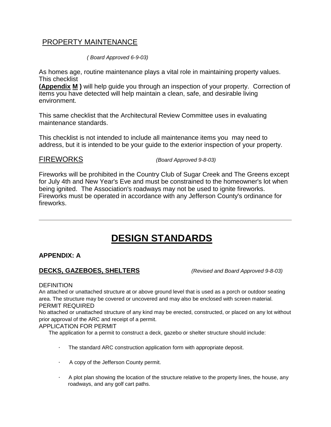### PROPERTY MAINTENANCE

 *( Board Approved 6-9-03)*

As homes age, routine maintenance plays a vital role in maintaining property values. This checklist

**[\(Appendix](http://www.sugarcreekpoa.org/arcprocedures.htm#appendixm) [M](http://www.sugarcreekpoa.org/arcprocedures.htm#appendixm) )** will help guide you through an inspection of your property. Correction of items you have detected will help maintain a clean, safe, and desirable living environment.

This same checklist that the Architectural Review Committee uses in evaluating maintenance standards.

This checklist is not intended to include all maintenance items you may need to address, but it is intended to be your guide to the exterior inspection of your property.

FIREWORKS *(Board Approved 9-8-03)*

Fireworks will be prohibited in the Country Club of Sugar Creek and The Greens except for July 4th and New Year's Eve and must be constrained to the homeowner's lot when being ignited. The Association's roadways may not be used to ignite fireworks. Fireworks must be operated in accordance with any Jefferson County's ordinance for fireworks.

# **DESIGN STANDARDS**

### **APPENDIX: A**

### **DECKS, GAZEBOES, SHELTERS** *(Revised and Board Approved 9-8-03)*

**DEFINITION** 

An attached or unattached structure at or above ground level that is used as a porch or outdoor seating area. The structure may be covered or uncovered and may also be enclosed with screen material. PERMIT REQUIRED

No attached or unattached structure of any kind may be erected, constructed, or placed on any lot without prior approval of the ARC and receipt of a permit.

### APPLICATION FOR PERMIT

The application for a permit to construct a deck, gazebo or shelter structure should include:

- · The standard ARC construction application form with appropriate deposit.
- · A copy of the Jefferson County permit.
- · A plot plan showing the location of the structure relative to the property lines, the house, any roadways, and any golf cart paths.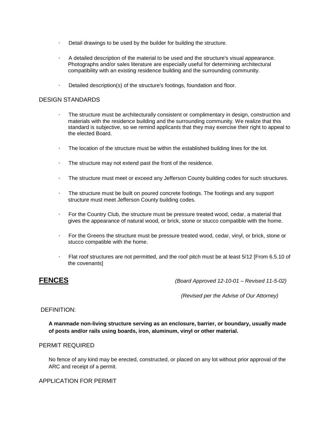- · Detail drawings to be used by the builder for building the structure.
- · A detailed description of the material to be used and the structure's visual appearance. Photographs and/or sales literature are especially useful for determining architectural compatibility with an existing residence building and the surrounding community.
- · Detailed description(s) of the structure's footings, foundation and floor.

### DESIGN STANDARDS

- · The structure must be architecturally consistent or complimentary in design, construction and materials with the residence building and the surrounding community. We realize that this standard is subjective, so we remind applicants that they may exercise their right to appeal to the elected Board.
- The location of the structure must be within the established building lines for the lot.
- · The structure may not extend past the front of the residence.
- · The structure must meet or exceed any Jefferson County building codes for such structures.
- · The structure must be built on poured concrete footings. The footings and any support structure must meet Jefferson County building codes.
- · For the Country Club, the structure must be pressure treated wood, cedar, a material that gives the appearance of natural wood, or brick, stone or stucco compatible with the home.
- · For the Greens the structure must be pressure treated wood, cedar, vinyl, or brick, stone or stucco compatible with the home.
- · Flat roof structures are not permitted, and the roof pitch must be at least 5/12 [From 6.5.10 of the covenants]

**FENCES** *(Board Approved 12-10-01 – Revised 11-5-02)*

*(Revised per the Advise of Our Attorney)*

### DEFINITION:

**A manmade non-living structure serving as an enclosure, barrier, or boundary, usually made of posts and/or rails using boards, iron, aluminum, vinyl or other material.** 

#### PERMIT REQUIRED

No fence of any kind may be erected, constructed, or placed on any lot without prior approval of the ARC and receipt of a permit.

### APPLICATION FOR PERMIT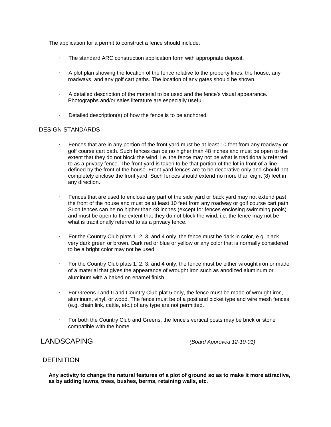The application for a permit to construct a fence should include:

- · The standard ARC construction application form with appropriate deposit.
- · A plot plan showing the location of the fence relative to the property lines, the house, any roadways, and any golf cart paths. The location of any gates should be shown.
- · A detailed description of the material to be used and the fence's visual appearance. Photographs and/or sales literature are especially useful.
- · Detailed description(s) of how the fence is to be anchored.

### DESIGN STANDARDS

- · Fences that are in any portion of the front yard must be at least 10 feet from any roadway or golf course cart path. Such fences can be no higher than 48 inches and must be open to the extent that they do not block the wind, i.e. the fence may not be what is traditionally referred to as a privacy fence. The front yard is taken to be that portion of the lot in front of a line defined by the front of the house. Front yard fences are to be decorative only and should not completely enclose the front yard. Such fences should extend no more than eight (8) feet in any direction.
- · Fences that are used to enclose any part of the side yard or back yard may not extend past the front of the house and must be at least 10 feet from any roadway or golf course cart path. Such fences can be no higher than 48 inches (except for fences enclosing swimming pools) and must be open to the extent that they do not block the wind, i.e. the fence may not be what is traditionally referred to as a privacy fence.
- · For the Country Club plats 1, 2, 3, and 4 only, the fence must be dark in color, e.g. black, very dark green or brown. Dark red or blue or yellow or any color that is normally considered to be a bright color may not be used.
- · For the Country Club plats 1, 2, 3, and 4 only, the fence must be either wrought iron or made of a material that gives the appearance of wrought iron such as anodized aluminum or aluminum with a baked on enamel finish.
- · For Greens I and II and Country Club plat 5 only, the fence must be made of wrought iron, aluminum, vinyl, or wood. The fence must be of a post and picket type and wire mesh fences (e.g. chain link, cattle, etc.) of any type are not permitted.
- · For both the Country Club and Greens, the fence's vertical posts may be brick or stone compatible with the home.

LANDSCAPING *(Board Approved 12-10-01)*

### **DEFINITION**

**Any activity to change the natural features of a plot of ground so as to make it more attractive, as by adding lawns, trees, bushes, berms, retaining walls, etc.**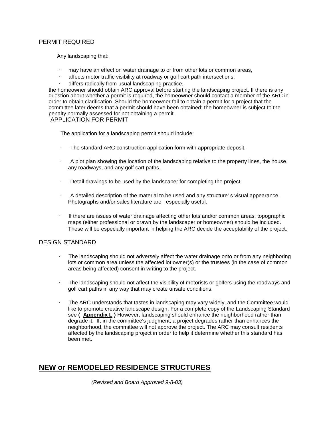### PERMIT REQUIRED

Any landscaping that:

- may have an effect on water drainage to or from other lots or common areas,
- affects motor traffic visibility at roadway or golf cart path intersections,
- differs radically from usual landscaping practice,

the homeowner should obtain ARC approval before starting the landscaping project. If there is any question about whether a permit is required, the homeowner should contact a member of the ARC in order to obtain clarification. Should the homeowner fail to obtain a permit for a project that the committee later deems that a permit should have been obtained; the homeowner is subject to the penalty normally assessed for not obtaining a permit.

APPLICATION FOR PERMIT

The application for a landscaping permit should include:

- The standard ARC construction application form with appropriate deposit.
- · A plot plan showing the location of the landscaping relative to the property lines, the house, any roadways, and any golf cart paths.
- Detail drawings to be used by the landscaper for completing the project.
- · A detailed description of the material to be used and any structure' s visual appearance. Photographs and/or sales literature are especially useful.
- If there are issues of water drainage affecting other lots and/or common areas, topographic maps (either professional or drawn by the landscaper or homeowner) should be included. These will be especially important in helping the ARC decide the acceptability of the project.

### DESIGN STANDARD

- · The landscaping should not adversely affect the water drainage onto or from any neighboring lots or common area unless the affected lot owner(s) or the trustees (in the case of common areas being affected) consent in writing to the project.
- · The landscaping should not affect the visibility of motorists or golfers using the roadways and golf cart paths in any way that may create unsafe conditions.
- · The ARC understands that tastes in landscaping may vary widely, and the Committee would like to promote creative landscape design. For a complete copy of the Landscaping Standard see **( [Appendix L](http://www.sugarcreekpoa.org/arcprocedures.htm#appenixL) )** However, landscaping should enhance the neighborhood rather than degrade it. If, in the committee's judgment, a project degrades rather than enhances the neighborhood, the committee will not approve the project. The ARC may consult residents affected by the landscaping project in order to help it determine whether this standard has been met.

### **NEW or REMODELED RESIDENCE STRUCTURES**

 *(Revised and Board Approved 9-8-03)*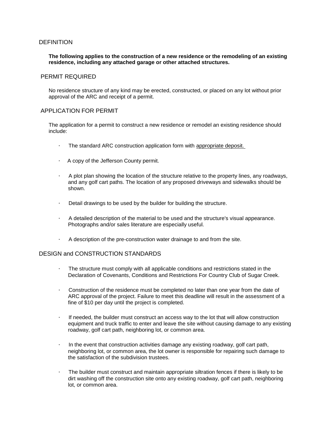### DEFINITION

#### **The following applies to the construction of a new residence or the remodeling of an existing residence, including any attached garage or other attached structures.**

#### PERMIT REQUIRED

No residence structure of any kind may be erected, constructed, or placed on any lot without prior approval of the ARC and receipt of a permit.

### APPLICATION FOR PERMIT

The application for a permit to construct a new residence or remodel an existing residence should include:

- · The standard ARC construction application form with appropriate deposit.
- · A copy of the Jefferson County permit.
- · A plot plan showing the location of the structure relative to the property lines, any roadways, and any golf cart paths. The location of any proposed driveways and sidewalks should be shown.
- · Detail drawings to be used by the builder for building the structure.
- · A detailed description of the material to be used and the structure's visual appearance. Photographs and/or sales literature are especially useful.
- · A description of the pre-construction water drainage to and from the site.

#### DESIGN and CONSTRUCTION STANDARDS

- · The structure must comply with all applicable conditions and restrictions stated in the Declaration of Covenants, Conditions and Restrictions For Country Club of Sugar Creek.
- Construction of the residence must be completed no later than one year from the date of ARC approval of the project. Failure to meet this deadline will result in the assessment of a fine of \$10 per day until the project is completed.
- · If needed, the builder must construct an access way to the lot that will allow construction equipment and truck traffic to enter and leave the site without causing damage to any existing roadway, golf cart path, neighboring lot, or common area.
- · In the event that construction activities damage any existing roadway, golf cart path, neighboring lot, or common area, the lot owner is responsible for repairing such damage to the satisfaction of the subdivision trustees.
- The builder must construct and maintain appropriate siltration fences if there is likely to be dirt washing off the construction site onto any existing roadway, golf cart path, neighboring lot, or common area.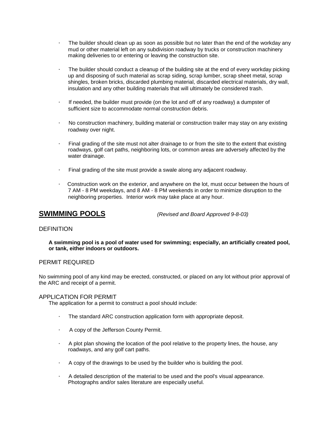- · The builder should clean up as soon as possible but no later than the end of the workday any mud or other material left on any subdivision roadway by trucks or construction machinery making deliveries to or entering or leaving the construction site.
- The builder should conduct a cleanup of the building site at the end of every workday picking up and disposing of such material as scrap siding, scrap lumber, scrap sheet metal, scrap shingles, broken bricks, discarded plumbing material, discarded electrical materials, dry wall, insulation and any other building materials that will ultimately be considered trash.
- · If needed, the builder must provide (on the lot and off of any roadway) a dumpster of sufficient size to accommodate normal construction debris.
- · No construction machinery, building material or construction trailer may stay on any existing roadway over night.
- · Final grading of the site must not alter drainage to or from the site to the extent that existing roadways, golf cart paths, neighboring lots, or common areas are adversely affected by the water drainage.
- · Final grading of the site must provide a swale along any adjacent roadway.
- · Construction work on the exterior, and anywhere on the lot, must occur between the hours of 7 AM - 8 PM weekdays, and 8 AM - 8 PM weekends in order to minimize disruption to the neighboring properties. Interior work may take place at any hour.

**SWIMMING POOLS** *(Revised and Board Approved 9-8-03)*

### **DEFINITION**

**A swimming pool is a pool of water used for swimming; especially, an artificially created pool, or tank, either indoors or outdoors.** 

### PERMIT REQUIRED

No swimming pool of any kind may be erected, constructed, or placed on any lot without prior approval of the ARC and receipt of a permit.

#### APPLICATION FOR PERMIT

The application for a permit to construct a pool should include:

- · The standard ARC construction application form with appropriate deposit.
- · A copy of the Jefferson County Permit.
- · A plot plan showing the location of the pool relative to the property lines, the house, any roadways, and any golf cart paths.
- · A copy of the drawings to be used by the builder who is building the pool.
- · A detailed description of the material to be used and the pool's visual appearance. Photographs and/or sales literature are especially useful.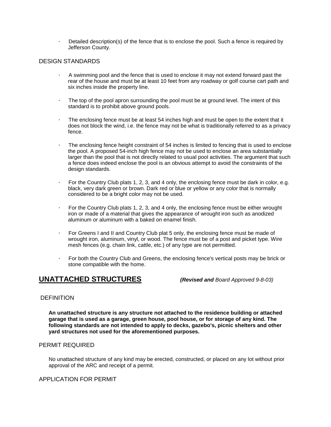Detailed description(s) of the fence that is to enclose the pool. Such a fence is required by Jefferson County.

### DESIGN STANDARDS

- · A swimming pool and the fence that is used to enclose it may not extend forward past the rear of the house and must be at least 10 feet from any roadway or golf course cart path and six inches inside the property line.
- · The top of the pool apron surrounding the pool must be at ground level. The intent of this standard is to prohibit above ground pools.
- The enclosing fence must be at least 54 inches high and must be open to the extent that it does not block the wind, i.e. the fence may not be what is traditionally referred to as a privacy fence.
- The enclosing fence height constraint of 54 inches is limited to fencing that is used to enclose the pool. A proposed 54-inch high fence may not be used to enclose an area substantially larger than the pool that is not directly related to usual pool activities. The argument that such a fence does indeed enclose the pool is an obvious attempt to avoid the constraints of the design standards.
- · For the Country Club plats 1, 2, 3, and 4 only, the enclosing fence must be dark in color, e.g. black, very dark green or brown. Dark red or blue or yellow or any color that is normally considered to be a bright color may not be used.
- · For the Country Club plats 1, 2, 3, and 4 only, the enclosing fence must be either wrought iron or made of a material that gives the appearance of wrought iron such as anodized aluminum or aluminum with a baked on enamel finish.
- For Greens I and II and Country Club plat 5 only, the enclosing fence must be made of wrought iron, aluminum, vinyl, or wood. The fence must be of a post and picket type. Wire mesh fences (e.g. chain link, cattle, etc.) of any type are not permitted.
- · For both the Country Club and Greens, the enclosing fence's vertical posts may be brick or stone compatible with the home.

### **UNATTACHED STRUCTURES** *(Revised and Board Approved 9-8-03)*

### **DEFINITION**

**An unattached structure is any structure not attached to the residence building or attached garage that is used as a garage, green house, pool house, or for storage of any kind. The following standards are not intended to apply to decks, gazebo's, picnic shelters and other yard structures not used for the aforementioned purposes.** 

### PERMIT REQUIRED

No unattached structure of any kind may be erected, constructed, or placed on any lot without prior approval of the ARC and receipt of a permit.

APPLICATION FOR PERMIT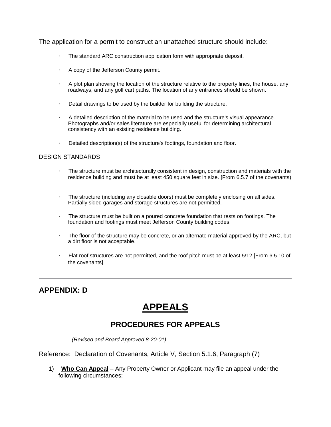The application for a permit to construct an unattached structure should include:

- · The standard ARC construction application form with appropriate deposit.
- · A copy of the Jefferson County permit.
- · A plot plan showing the location of the structure relative to the property lines, the house, any roadways, and any golf cart paths. The location of any entrances should be shown.
- · Detail drawings to be used by the builder for building the structure.
- · A detailed description of the material to be used and the structure's visual appearance. Photographs and/or sales literature are especially useful for determining architectural consistency with an existing residence building.
- · Detailed description(s) of the structure's footings, foundation and floor.

### DESIGN STANDARDS

- · The structure must be architecturally consistent in design, construction and materials with the residence building and must be at least 450 square feet in size. [From 6.5.7 of the covenants)
- · The structure (including any closable doors) must be completely enclosing on all sides. Partially sided garages and storage structures are not permitted.
- The structure must be built on a poured concrete foundation that rests on footings. The foundation and footings must meet Jefferson County building codes.
- · The floor of the structure may be concrete, or an alternate material approved by the ARC, but a dirt floor is not acceptable.
- Flat roof structures are not permitted, and the roof pitch must be at least 5/12 [From 6.5.10 of the covenants]

### **APPENDIX: D**

# **APPEALS**

### **PROCEDURES FOR APPEALS**

 *(Revised and Board Approved 8-20-01)*

Reference: Declaration of Covenants, Article V, Section 5.1.6, Paragraph (7)

1) **Who Can Appeal** – Any Property Owner or Applicant may file an appeal under the following circumstances: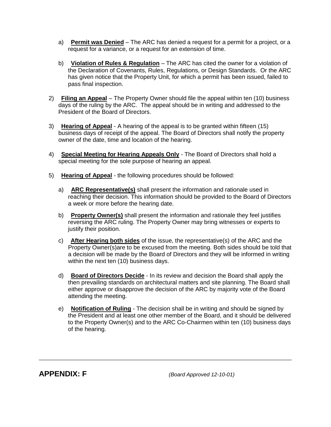- a) **Permit was Denied** The ARC has denied a request for a permit for a project, or a request for a variance, or a request for an extension of time.
- b) **Violation of Rules & Regulation** The ARC has cited the owner for a violation of the Declaration of Covenants, Rules, Regulations, or Design Standards. Or the ARC has given notice that the Property Unit, for which a permit has been issued, failed to pass final inspection.
- 2) **Filing an Appeal** The Property Owner should file the appeal within ten (10) business days of the ruling by the ARC. The appeal should be in writing and addressed to the President of the Board of Directors.
- 3) **Hearing of Appeal** A hearing of the appeal is to be granted within fifteen (15) business days of receipt of the appeal. The Board of Directors shall notify the property owner of the date, time and location of the hearing.
- 4) **Special Meeting for Hearing Appeals Only** The Board of Directors shall hold a special meeting for the sole purpose of hearing an appeal.
- 5) **Hearing of Appeal** the following procedures should be followed:
	- a) **ARC Representative(s)** shall present the information and rationale used in reaching their decision. This information should be provided to the Board of Directors a week or more before the hearing date.
	- b) **Property Owner(s)** shall present the information and rationale they feel justifies reversing the ARC ruling. The Property Owner may bring witnesses or experts to justify their position.
	- c) **After Hearing both sides** of the issue, the representative(s) of the ARC and the Property Owner(s)are to be excused from the meeting. Both sides should be told that a decision will be made by the Board of Directors and they will be informed in writing within the next ten (10) business days.
	- d) **Board of Directors Decide** In its review and decision the Board shall apply the then prevailing standards on architectural matters and site planning. The Board shall either approve or disapprove the decision of the ARC by majority vote of the Board attending the meeting.
	- e) **Notification of Ruling** The decision shall be in writing and should be signed by the President and at least one other member of the Board, and it should be delivered to the Property Owner(s) and to the ARC Co-Chairmen within ten (10) business days of the hearing.

**APPENDIX: F** *(Board Approved 12-10-01)*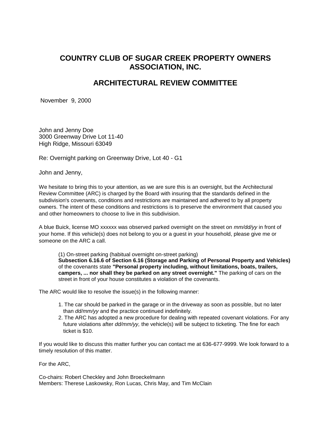### **COUNTRY CLUB OF SUGAR CREEK PROPERTY OWNERS ASSOCIATION, INC.**

### **ARCHITECTURAL REVIEW COMMITTEE**

November 9, 2000

John and Jenny Doe 3000 Greenway Drive Lot 11-40 High Ridge, Missouri 63049

Re: Overnight parking on Greenway Drive, Lot 40 - G1

John and Jenny,

We hesitate to bring this to your attention, as we are sure this is an oversight, but the Architectural Review Committee (ARC) is charged by the Board with insuring that the standards defined in the subdivision's covenants, conditions and restrictions are maintained and adhered to by all property owners. The intent of these conditions and restrictions is to preserve the environment that caused you and other homeowners to choose to live in this subdivision.

A blue Buick, license MO xxxxxx was observed parked overnight on the street on *mm/dd/yy* in front of your home. If this vehicle(s) does not belong to you or a guest in your household, please give me or someone on the ARC a call.

(1) On-street parking (habitual overnight on-street parking) **Subsection 6.16.6 of Section 6.16 (Storage and Parking of Personal Property and Vehicles)** of the covenants state **"Personal property including, without limitations, boats, trailers, campers, ... nor shall they be parked on any street overnight."** The parking of cars on the street in front of your house constitutes a violation of the covenants.

The ARC would like to resolve the issue(s) in the following manner:

- 1. The car should be parked in the garage or in the driveway as soon as possible, but no later than *dd/mm/yy* and the practice continued indefinitely.
- 2. The ARC has adopted a new procedure for dealing with repeated covenant violations. For any future violations after *dd/mm/yy,* the vehicle(s) will be subject to ticketing. The fine for each ticket is \$10.

If you would like to discuss this matter further you can contact me at 636-677-9999. We look forward to a timely resolution of this matter.

For the ARC,

Co-chairs: Robert Checkley and John Broeckelmann Members: Therese Laskowsky, Ron Lucas, Chris May, and Tim McClain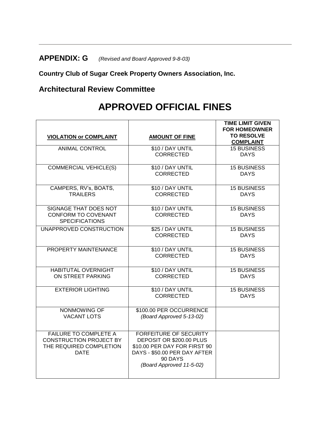# **APPENDIX: G** *(Revised and Board Approved 9-8-03)*

**Country Club of Sugar Creek Property Owners Association, Inc.** 

## **Architectural Review Committee**

# **APPROVED OFFICIAL FINES**

| <b>VIOLATION or COMPLAINT</b>                                                                            | <b>AMOUNT OF FINE</b>                                                                                                                                            | <b>TIME LIMIT GIVEN</b><br><b>FOR HOMEOWNER</b><br><b>TO RESOLVE</b><br><b>COMPLAINT</b> |
|----------------------------------------------------------------------------------------------------------|------------------------------------------------------------------------------------------------------------------------------------------------------------------|------------------------------------------------------------------------------------------|
| <b>ANIMAL CONTROL</b>                                                                                    | \$10 / DAY UNTIL<br>CORRECTED                                                                                                                                    | <b>15 BUSINESS</b><br><b>DAYS</b>                                                        |
| <b>COMMERCIAL VEHICLE(S)</b>                                                                             | \$10 / DAY UNTIL<br><b>CORRECTED</b>                                                                                                                             | <b>15 BUSINESS</b><br><b>DAYS</b>                                                        |
| CAMPERS, RV's, BOATS,<br><b>TRAILERS</b>                                                                 | \$10 / DAY UNTIL<br><b>CORRECTED</b>                                                                                                                             | <b>15 BUSINESS</b><br><b>DAYS</b>                                                        |
| SIGNAGE THAT DOES NOT<br><b>CONFORM TO COVENANT</b><br><b>SPECIFICATIONS</b>                             | \$10 / DAY UNTIL<br><b>CORRECTED</b>                                                                                                                             | <b>15 BUSINESS</b><br><b>DAYS</b>                                                        |
| UNAPPROVED CONSTRUCTION                                                                                  | \$25 / DAY UNTIL<br><b>CORRECTED</b>                                                                                                                             | <b>15 BUSINESS</b><br><b>DAYS</b>                                                        |
| PROPERTY MAINTENANCE                                                                                     | \$10 / DAY UNTIL<br><b>CORRECTED</b>                                                                                                                             | <b>15 BUSINESS</b><br><b>DAYS</b>                                                        |
| <b>HABITUTAL OVERNIGHT</b><br>ON STREET PARKING                                                          | \$10 / DAY UNTIL<br><b>CORRECTED</b>                                                                                                                             | <b>15 BUSINESS</b><br><b>DAYS</b>                                                        |
| <b>EXTERIOR LIGHTING</b>                                                                                 | \$10 / DAY UNTIL<br><b>CORRECTED</b>                                                                                                                             | <b>15 BUSINESS</b><br><b>DAYS</b>                                                        |
| NONMOWING OF<br><b>VACANT LOTS</b>                                                                       | \$100.00 PER OCCURRENCE<br>(Board Approved 5-13-02)                                                                                                              |                                                                                          |
| <b>FAILURE TO COMPLETE A</b><br><b>CONSTRUCTION PROJECT BY</b><br>THE REQUIRED COMPLETION<br><b>DATE</b> | <b>FORFEITURE OF SECURITY</b><br>DEPOSIT OR \$200.00 PLUS<br>\$10.00 PER DAY FOR FIRST 90<br>DAYS - \$50.00 PER DAY AFTER<br>90 DAYS<br>(Board Approved 11-5-02) |                                                                                          |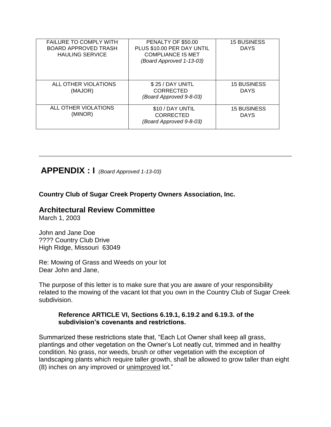| <b>FAILURE TO COMPLY WITH</b><br><b>BOARD APPROVED TRASH</b><br><b>HAULING SERVICE</b> | PENALTY OF \$50.00<br>PLUS \$10.00 PER DAY UNTIL<br><b>COMPLIANCE IS MET</b><br>(Board Approved 1-13-03) | <b>15 BUSINESS</b><br><b>DAYS</b> |
|----------------------------------------------------------------------------------------|----------------------------------------------------------------------------------------------------------|-----------------------------------|
| ALL OTHER VIOLATIONS<br>(MAJOR)                                                        | \$25 / DAY UNITL<br>CORRECTED<br>(Board Approved 9-8-03)                                                 | <b>15 BUSINESS</b><br><b>DAYS</b> |
| ALL OTHER VIOLATIONS<br>(MINOR)                                                        | \$10 / DAY UNTIL<br><b>CORRECTED</b><br>(Board Approved 9-8-03)                                          | <b>15 BUSINESS</b><br><b>DAYS</b> |

## **APPENDIX : I** *(Board Approved 1-13-03)*

**Country Club of Sugar Creek Property Owners Association, Inc.** 

### **Architectural Review Committee**

March 1, 2003

John and Jane Doe ???? Country Club Drive High Ridge, Missouri 63049

Re: Mowing of Grass and Weeds on your lot Dear John and Jane,

The purpose of this letter is to make sure that you are aware of your responsibility related to the mowing of the vacant lot that you own in the Country Club of Sugar Creek subdivision.

### **Reference ARTICLE VI, Sections 6.19.1, 6.19.2 and 6.19.3. of the subdivision's covenants and restrictions.**

Summarized these restrictions state that, "Each Lot Owner shall keep all grass, plantings and other vegetation on the Owner's Lot neatly cut, trimmed and in healthy condition. No grass, nor weeds, brush or other vegetation with the exception of landscaping plants which require taller growth, shall be allowed to grow taller than eight (8) inches on any improved or unimproved lot."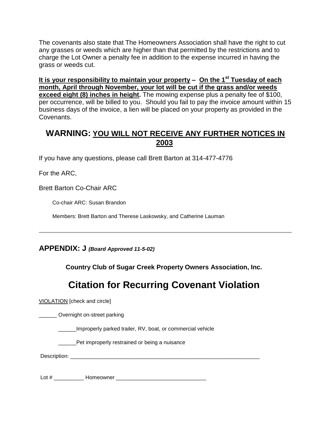The covenants also state that The Homeowners Association shall have the right to cut any grasses or weeds which are higher than that permitted by the restrictions and to charge the Lot Owner a penalty fee in addition to the expense incurred in having the grass or weeds cut.

**It is your responsibility to maintain your property – On the 1st Tuesday of each month, April through November, your lot will be cut if the grass and/or weeds exceed eight (8) inches in height.** The mowing expense plus a penalty fee of \$100, per occurrence, will be billed to you. Should you fail to pay the invoice amount within 15 business days of the invoice, a lien will be placed on your property as provided in the Covenants.

### **WARNING: YOU WILL NOT RECEIVE ANY FURTHER NOTICES IN 2003**

If you have any questions, please call Brett Barton at 314-477-4776

For the ARC,

Brett Barton Co-Chair ARC

Co-chair ARC: Susan Brandon

Members: Brett Barton and Therese Laskowsky, and Catherine Lauman

**APPENDIX: J** *(Board Approved 11-5-02)*

**Country Club of Sugar Creek Property Owners Association, Inc.**

# **Citation for Recurring Covenant Violation**

VIOLATION [check and circle]

\_\_\_\_\_\_ Overnight on-street parking

\_\_\_\_\_\_Improperly parked trailer, RV, boat, or commercial vehicle

Pet improperly restrained or being a nuisance

Description:

Lot # \_\_\_\_\_\_\_\_\_\_ Homeowner \_\_\_\_\_\_\_\_\_\_\_\_\_\_\_\_\_\_\_\_\_\_\_\_\_\_\_\_\_\_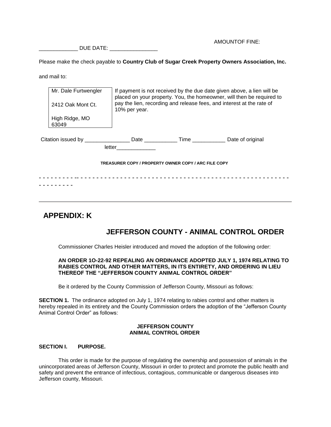DUE DATE:  $\Box$ 

AMOUNTOF FINE:

Please make the check payable to **Country Club of Sugar Creek Property Owners Association, Inc.** 

and mail to:

|                                                                                  | Mr. Dale Furtwengler<br>2412 Oak Mont Ct. | If payment is not received by the due date given above, a lien will be<br>placed on your property. You, the homeowner, will then be required to<br>pay the lien, recording and release fees, and interest at the rate of<br>10% per year. |  |                  |  |  |  |
|----------------------------------------------------------------------------------|-------------------------------------------|-------------------------------------------------------------------------------------------------------------------------------------------------------------------------------------------------------------------------------------------|--|------------------|--|--|--|
|                                                                                  | High Ridge, MO<br>63049                   |                                                                                                                                                                                                                                           |  |                  |  |  |  |
| Citation issued by ________________________Date ________________________________ |                                           | letter the control of the control of the control of the control of the control of the control of the control o                                                                                                                            |  | Date of original |  |  |  |
| TREASURER COPY / PROPERTY OWNER COPY / ARC FILE COPY                             |                                           |                                                                                                                                                                                                                                           |  |                  |  |  |  |
|                                                                                  |                                           |                                                                                                                                                                                                                                           |  |                  |  |  |  |

## **APPENDIX: K**

### **JEFFERSON COUNTY - ANIMAL CONTROL ORDER**

Commissioner Charles Heisler introduced and moved the adoption of the following order:

#### **AN ORDER 1O-22-92 REPEALING AN ORDINANCE ADOPTED JULY 1, 1974 RELATING TO RABIES CONTROL AND OTHER MATTERS, IN ITS ENTIRETY, AND ORDERING IN LIEU THEREOF THE "JEFFERSON COUNTY ANIMAL CONTROL ORDER"**

Be it ordered by the County Commission of Jefferson County, Missouri as follows:

**SECTION 1.** The ordinance adopted on July 1, 1974 relating to rabies control and other matters is hereby repealed in its entirety and the County Commission orders the adoption of the "Jefferson County Animal Control Order" as follows:

### **JEFFERSON COUNTY ANIMAL CONTROL ORDER**

### **SECTION I. PURPOSE.**

This order is made for the purpose of regulating the ownership and possession of animals in the unincorporated areas of Jefferson County, Missouri in order to protect and promote the public health and safety and prevent the entrance of infectious, contagious, communicable or dangerous diseases into Jefferson county, Missouri.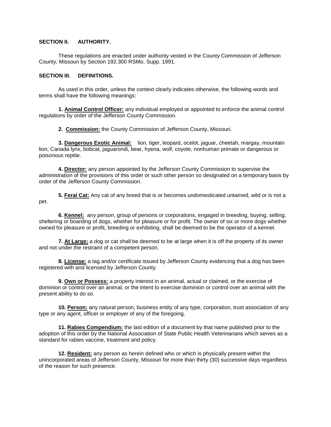### **SECTION II. AUTHORITY.**

These regulations are enacted under authority vested in the County Commission of Jefferson County, Missouri by Section 192.300 RSMo. Supp. 1991.

#### **SECTION III. DEFINITIONS.**

As used in this order, unless the context clearly indicates otherwise, the following words and terms shall have the following meanings:

**1. Animal Control Officer:** any individual employed or appointed to enforce the animal control regulations by order of the Jefferson County Commission.

**2. Commission:** the County Commission of Jefferson County, Missouri.

**3. Dangerous Exotic Animal:** lion, tiger, leopard, ocelot, jaguar, cheetah, margay, mountain lion, Canada lynx, bobcat, jaguarondi, bear, hyena, wolf, coyote, nonhuman primate or dangerous or poisonous reptile.

**4. Director:** any person appointed by the Jefferson County Commission to supervise the administration of the provisions of this order or such other person so designated on a temporary basis by order of the Jefferson County Commission.

**5. Feral Cat:** Any cat of any breed that is or becomes undomesticated untamed, wild or is not a pet.

**6. Kennel:** any person, group of persons or corporations, engaged in breeding, buying, selling, sheltering or boarding of dogs, whether for pleasure or for profit. The owner of six or more dogs whether owned for pleasure or profit, breeding or exhibiting, shall be deemed to be the operator of a kennel.

**7. At Large:** a dog or cat shall be deemed to be at large when it is off the property of its owner and not under the restraint of a competent person.

**8. License:** a tag and/or certificate issued by Jefferson County evidencing that a dog has been registered with and licensed by Jefferson County.

**9. Own or Possess:** a property interest in an animal, actual or claimed, or the exercise of dominion or control over an animal, or the intent to exercise dominion or control over an animal with the present ability to do so.

**10. Person:** any natural person, business entity of any type, corporation, trust association of any type or any agent, officer or employer of any of the foregoing.

**11. Rabies Compendium:** the last edition of a document by that name published prior to the adoption of this order by the National Association of State Public Health Veterinarians which serves as a standard for rabies vaccine, treatment and policy.

**12. Resident:** any person as herein defined who or which is physically present within the unincorporated areas of Jefferson County, Missouri for more than thirty (30) successive days regardless of the reason for such presence.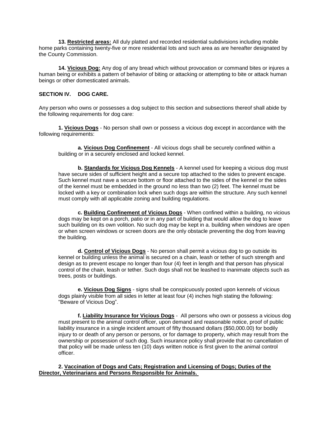**13. Restricted areas:** All duly platted and recorded residential subdivisions including mobile home parks containing twenty-five or more residential lots and such area as are hereafter designated by the County Commission.

**14. Vicious Dog:** Any dog of any bread which without provocation or command bites or injures a human being or exhibits a pattern of behavior of biting or attacking or attempting to bite or attack human beings or other domesticated animals.

### **SECTION IV. DOG CARE.**

Any person who owns or possesses a dog subject to this section and subsections thereof shall abide by the following requirements for dog care:

**1. Vicious Dogs** - No person shall own or possess a vicious dog except in accordance with the following requirements:

**a. Vicious Dog Confinement** - All vicious dogs shall be securely confined within a building or in a securely enclosed and locked kennel.

**b. Standards for Vicious Dog Kennels** - A kennel used for keeping a vicious dog must have secure sides of sufficient height and a secure top attached to the sides to prevent escape. Such kennel must nave a secure bottom or floor attached to the sides of the kennel or the sides of the kennel must be embedded in the ground no less than two (2) feet. The kennel must be locked with a key or combination lock when such dogs are within the structure. Any such kennel must comply with all applicable zoning and building regulations.

**c. Building Confinement of Vicious Dogs** - When confined within a building, no vicious dogs may be kept on a porch, patio or in any part of building that would allow the dog to leave such building on its own volition. No such dog may be kept in a. building when windows are open or when screen windows or screen doors are the only obstacle preventing the dog from leaving the building.

**d. Control of Vicious Dogs** - No person shall permit a vicious dog to go outside its kennel or building unless the animal is secured on a chain, leash or tether of such strength and design as to prevent escape no longer than four (4) feet in length and that person has physical control of the chain, leash or tether. Such dogs shall not be leashed to inanimate objects such as trees, posts or buildings.

**e. Vicious Dog Signs** - signs shall be conspicuously posted upon kennels of vicious dogs plainly visible from all sides in letter at least four (4) inches high stating the following: "Beware of Vicious Dog".

**f. Liability Insurance for Vicious Dogs** - All persons who own or possess a vicious dog must present to the animal control officer, upon demand and reasonable notice, proof of public liability insurance in a single incident amount of fifty thousand dollars (\$50,000.00) for bodily injury to or death of any person or persons, or for damage to property, which may result from the ownership or possession of such dog. Such insurance policy shall provide that no cancellation of that policy will be made unless ten (10) days written notice is first given to the animal control officer.

**2. Vaccination of Dogs and Cats; Registration and Licensing of Dogs; Duties of the Director, Veterinarians and Persons Responsible for Animals.**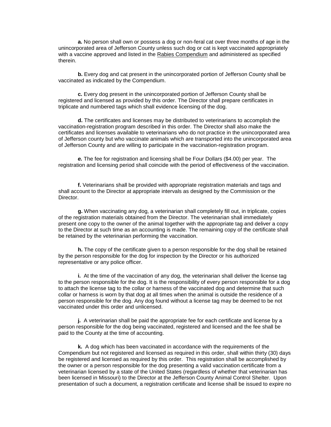**a.** No person shall own or possess a dog or non-feral cat over three months of age in the unincorporated area of Jefferson County unless such dog or cat is kept vaccinated appropriately with a vaccine approved and listed in the Rabies Compendium and administered as specified therein.

**b.** Every dog and cat present in the unincorporated portion of Jefferson County shall be vaccinated as indicated by the Compendium.

**c.** Every dog present in the unincorporated portion of Jefferson County shall be registered and licensed as provided by this order. The Director shall prepare certificates in triplicate and numbered tags which shall evidence licensing of the dog.

**d.** The certificates and licenses may be distributed to veterinarians to accomplish the vaccination-registration program described in this order. The Director shall also make the certificates and licenses available to veterinarians who do not practice in the unincorporated area of Jefferson county but who vaccinate animals which are transported into the unincorporated area of Jefferson County and are willing to participate in the vaccination-registration program.

*e.* The fee for registration and licensing shall be Four Dollars (\$4.00) per year. The registration and licensing period shall coincide with the period of effectiveness of the vaccination.

**f.** Veterinarians shall be provided with appropriate registration materials and tags and shall account to the Director at appropriate intervals as designed by the Commission or the Director.

**g.** When vaccinating any dog, a veterinarian shall completely fill out, in triplicate, copies of the registration materials obtained from the Director. The veterinarian shall immediately present one copy to the owner of the animal together with the appropriate tag and deliver a copy to the Director at such time as an accounting is made. The remaining copy of the certificate shall be retained by the veterinarian performing the vaccination.

**h.** The copy of the certificate given to a person responsible for the dog shall be retained by the person responsible for the dog for inspection by the Director or his authorized representative or any police officer.

**i.**At the time of the vaccination of any dog, the veterinarian shall deliver the license tag to the person responsible for the dog. It is the responsibility of every person responsible for a dog to attach the license tag to the collar or harness of the vaccinated dog and determine that such collar or harness is worn by that dog at all times when the animal is outside the residence of a person responsible for the dog. Any dog found without a license tag may be deemed to be not vaccinated under this order and unlicensed.

**j.** A veterinarian shall be paid the appropriate fee for each certificate and license by a person responsible for the dog being vaccinated, registered and licensed and the fee shall be paid to the County at the time of accounting.

**k.** A dog which has been vaccinated in accordance with the requirements of the Compendium but not registered and licensed as required in this order, shall within thirty (30) days be registered and licensed as required by this order. This registration shall be accomplished by the owner or a person responsible for the dog presenting a valid vaccination certificate from a veterinarian licensed by a state of the United States (regardless of whether that veterinarian has been licensed in Missouri) to the Director at the Jefferson County Animal Control Shelter. Upon presentation of such a document, a registration certificate and license shall be issued to expire no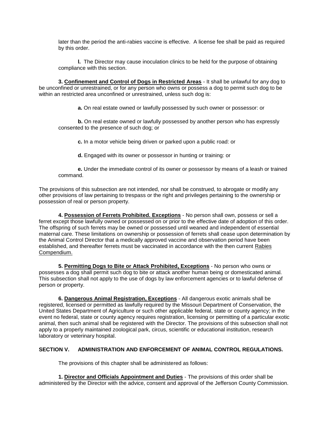later than the period the anti-rabies vaccine is effective. A license fee shall be paid as required by this order.

**l.** The Director may cause inoculation clinics to be held for the purpose of obtaining compliance with this section.

**3. Confinement and Control of Dogs in Restricted Areas** - It shall be unlawful for any dog to be unconfined or unrestrained, or for any person who owns or possess a dog to permit such dog to be within an restricted area unconfined or unrestrained, unless such dog is:

**a.** On real estate owned or lawfully possessed by such owner or possessor: or

**b.** On real estate owned or lawfully possessed by another person who has expressly consented to the presence of such dog; or

**c.** In a motor vehicle being driven or parked upon a public road: or

**d.** Engaged with its owner or possessor in hunting or training: or

**e.** Under the immediate control of its owner or possessor by means of a leash or trained command.

The provisions of this subsection are not intended, nor shall be construed, to abrogate or modify any other provisions of law pertaining to trespass or the right and privileges pertaining to the ownership or possession of real or person property.

**4. Possession of Ferrets Prohibited. Exceptions** - No person shall own, possess or sell a ferret except those lawfully owned or possessed on or prior to the effective date of adoption of this order. The offspring of such ferrets may be owned or possessed until weaned and independent of essential maternal care. These limitations on ownership or possession of ferrets shall cease upon determination by the Animal Control Director that a medically approved vaccine and observation period have been established, and thereafter ferrets must be vaccinated in accordance with the then current Rabies Compendium.

**5. Permitting Dogs to Bite or Attack Prohibited, Exceptions** - No person who owns or possesses a dog shall permit such dog to bite or attack another human being or domesticated animal. This subsection shall not apply to the use of dogs by law enforcement agencies or to lawful defense of person or property.

**6. Dangerous Animal Registration, Exceptions** - All dangerous exotic animals shall be registered, licensed or permitted as lawfully required by the Missouri Department of Conservation, the United States Department of Agriculture or such other applicable federal, state or county agency; in the event no federal, state or county agency requires registration, licensing or permitting of a particular exotic animal, then such animal shall be registered with the Director. The provisions of this subsection shall not apply to a properly maintained zoological park, circus, scientific or educational institution, research laboratory or veterinary hospital.

### **SECTION V. ADMINISTRATION AND ENFORCEMENT OF ANIMAL CONTROL REGULATIONS.**

The provisions of this chapter shall be administered as follows:

**1. Director and Officials Appointment and Duties** - The provisions of this order shall be administered by the Director with the advice, consent and approval of the Jefferson County Commission.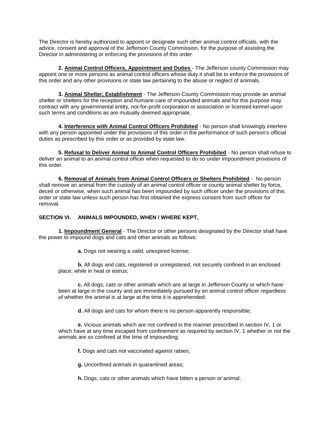The Director is hereby authorized to appoint or designate such other animal control officials, with the advice, consent and approval of the Jefferson County Commission, for the purpose of assisting the Director in administering or enforcing the provisions of this order.

**2. Animal Control Officers, Appointment and Duties** - The Jefferson county Commission may appoint one or more persons as animal control officers whose duty it shall be to enforce the provisions of this order and any other provisions or state law pertaining to the abuse or neglect of animals.

**3. Animal Shelter, Establishment** - The Jefferson County Commission may provide an animal shelter or shelters for the reception and humane care of impounded animals and for this purpose may contract with any governmental entity, not-for-profit corporation or association or licensed kennel upon such terms and conditions as are mutually deemed appropriate.

**4. Interference with Animal Control Officers Prohibited** - No person shall knowingly interfere with any person appointed under the provisions of this order in the performance of such person's official duties as prescribed by this order or as provided by state law.

**5. Refusal to Deliver Animal to Animal Control Officers Prohibited** - No person shall refuse to deliver an animal to an animal control officer when requested to do so under impoundment provisions of this order.

**6. Removal of Animals from Animal Control Officers or Shelters Prohibited** - No person shall remove an animal from the custody of an animal control officer or county animal shelter by force, deceit or otherwise, when such animal has been impounded by such officer under the provisions of this order or state law unless such person has first obtained the express consent from such officer for removal.

### **SECTION VI. ANIMALS IMPOUNDED, WHEN / WHERE KEPT,**

**1. Impoundment General** - The Director or other persons designated by the Director shall have the power to impound dogs and cats and other animals as follows:

**a.** Dogs not wearing a valid, unexpired license;

**b.** All dogs and cats, registered or unregistered, not securely confined in an enclosed place, while in heat or estrus;

**c.** All dogs, cats or other animals which are at large in Jefferson County or which have been at large in the county and are immediately pursued by an animal control officer regardless of whether the animal is at large at the time it is apprehended;

**d.** All dogs and cats for whom there is no person apparently responsible;

**e.** Vicious animals which are not confined in the manner prescribed in section IV, 1 or which have at any time escaped from confinement as required by section IV, 1 whether or not the animals are so confined at the time of impounding;

**f.** Dogs and cats not vaccinated against rabies;

**g.** Unconfined animals in quarantined areas;

**h.** Dogs, cats or other animals which have bitten a person or animal;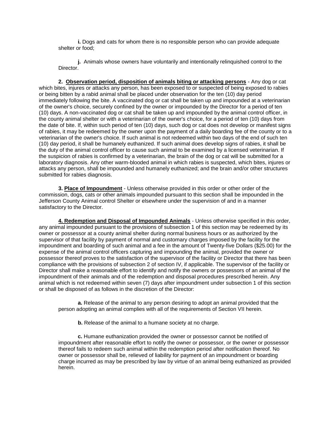**i.** Dogs and cats for whom there is no responsible person who can provide adequate shelter or food;

**j.** Animals whose owners have voluntarily and intentionally relinquished control to the Director.

**2. Observation period, disposition of animals biting or attacking persons** - Any dog or cat which bites, injures or attacks any person, has been exposed to or suspected of being exposed to rabies or being bitten by a rabid animal shall be placed under observation for the ten (10) day period immediately following the bite. A vaccinated dog or cat shall be taken up and impounded at a veterinarian of the owner's choice, securely confined by the owner or impounded by the Director for a period of ten (10) days. A non-vaccinated dog or cat shall be taken up and impounded by the animal control officer, in the county animal shelter or with a veterinarian of the owner's choice, for a period of ten (10) days from the date of bite. If, within such period of ten (10) days, such dog or cat does not develop or manifest signs of rabies, it may be redeemed by the owner upon the payment of a daily boarding fee of the county or to a veterinarian of the owner's choice. If such animal is not redeemed within two days of the end of such ten (10) day period, it shall be humanely euthanized. If such animal does develop signs of rabies, it shall be the duty of the animal control officer to cause such animal to be examined by a licensed veterinarian. If the suspicion of rabies is confirmed by a veterinarian, the brain of the dog or cat will be submitted for a laboratory diagnosis. Any other warm-blooded animal in which rabies is suspected, which bites, injures or attacks any person, shall be impounded and humanely euthanized; and the brain and/or other structures submitted for rabies diagnosis.

**3. Place of Impoundment** - Unless otherwise provided in this order or other order of the commission, dogs, cats or other animals impounded pursuant to this section shall be impounded in the Jefferson County Animal control Shelter or elsewhere under the supervision of and in a manner satisfactory to the Director.

**4. Redemption and Disposal of Impounded Animals** - Unless otherwise specified in this order, any animal impounded pursuant to the provisions of subsection 1 of this section may be redeemed by its owner or possessor at a county animal shelter during normal business hours or as authorized by the supervisor of that facility by payment of normal and customary charges imposed by the facility for the impoundment and boarding of such animal and a fee in the amount of Twenty-five Dollars (\$25.00) for the expense of the animal control officers capturing and impounding the animal, provided the owner or possessor thereof proves to the satisfaction of the supervisor of the facility or Director that there has been compliance with the provisions of subsection 2 of section IV, if applicable. The supervisor of the facility or Director shall make a reasonable effort to identify and notify the owners or possessors of an animal of the impoundment of their animals and of the redemption and disposal procedures prescribed herein. Any animal which is not redeemed within seven (7) days after impoundment under subsection 1 of this section or shall be disposed of as follows in the discretion of the Director:

**a.** Release of the animal to any person desiring to adopt an animal provided that the person adopting an animal complies with all of the requirements of Section VII herein.

**b.** Release of the animal to a humane society at no charge.

**c.** Humane euthanization provided the owner or possessor cannot be notified of impoundment after reasonable effort to notify the owner or possessor, or the owner or possessor thereof fails to redeem such animal within the redemption period after notification thereof. No owner or possessor shall be, relieved of liability for payment of an impoundment or boarding charge incurred as may be prescribed by law by virtue of an animal being euthanized as provided herein.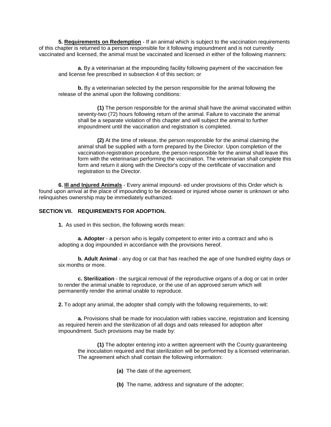**5. Requirements on Redemption** - If an animal which is subject to the vaccination requirements of this chapter is returned to a person responsible for it following impoundment and is not currently vaccinated and licensed, the animal must be vaccinated and licensed *in* either of the following manners:

**a.** By a veterinarian at the impounding facility following payment of the vaccination fee and license fee prescribed in subsection 4 of this section; or

**b.** By a veterinarian selected by the person responsible for the animal following the release of the animal upon the following conditions:

**(1)** The person responsible for the animal shall have the animal vaccinated within seventy-two (72) hours following return of the animal. Failure to vaccinate the animal shall be a separate violation of this chapter and will subject the animal to further impoundment until the vaccination and registration is completed.

**(2)** At the time of release, the person responsible for the animal claiming the animal shall be supplied with a form prepared by the Director. Upon completion of the vaccination-registration procedure, the person responsible for the animal shall leave this form with the veterinarian performing the vaccination. The veterinarian shall complete this form and return it along with the Director's copy of the certificate of vaccination and registration to the Director.

**6. Ill and Injured Animals** - Every animal impound- ed under provisions of this Order which is found upon arrival at the place of impounding to be deceased or injured whose owner is unknown or who relinquishes ownership may be immediately euthanized.

### **SECTION VII. REQUIREMENTS FOR ADOPTION.**

**1.** As used in this section, the following words mean:

**a. Adopter** - a person who is legally competent to enter into a contract and who is adopting a dog impounded in accordance with the provisions hereof.

**b. Adult Animal** - any dog or cat that has reached the age of one hundred eighty days or six months or more.

**c. Sterilization** - the surgical removal of the reproductive organs of a dog or cat in order to render the animal unable to reproduce, or the use of an approved serum which will permanently render the animal unable to reproduce.

**2.** To adopt any animal, the adopter shall comply with the following requirements, to-wit:

**a.** Provisions shall be made for inoculation with rabies vaccine, registration and licensing as required herein and the sterilization of all dogs and oats released for adoption after impoundment. Such provisions may be made by:

**(1)** The adopter entering into a written agreement with the County guaranteeing the inoculation required and that sterilization will be performed by a licensed veterinarian. The agreement which shall contain the following information:

- **(a)** The date of the agreement;
- **(b)** The name, address and signature of the adopter;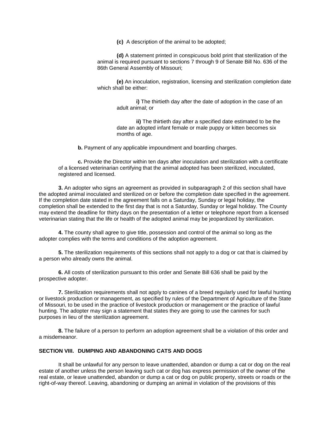**(c)** A description of the animal to be adopted;

**(d)** A statement printed in conspicuous bold print that sterilization of the animal is required pursuant to sections 7 through 9 of Senate Bill No. 636 of the 86th General Assembly of Missouri;

**(e)** An inoculation, registration, licensing and sterilization completion date which shall be either:

**i)** The thirtieth day after the date of adoption in the case of an adult animal; or

**ii)** The thirtieth day after a specified date estimated to be the date an adopted infant female or male puppy or kitten becomes six months of age.

**b.** Payment of any applicable impoundment and boarding charges.

**c.** Provide the Director within ten days after inoculation and sterilization with a certificate of a licensed veterinarian certifying that the animal adopted has been sterilized, inoculated, registered and licensed.

**3.** An adopter who signs an agreement as provided in subparagraph 2 of this section shall have the adopted animal inoculated and sterilized on or before the completion date specified in the agreement. If the completion date stated in the agreement falls on a Saturday, Sunday or legal holiday, the completion shall be extended to the first day that is not a Saturday, Sunday or legal holiday. The County may extend the deadline for thirty days on the presentation of a letter or telephone report from a licensed veterinarian stating that the life or health of the adopted animal may be jeopardized by sterilization.

**4.** The county shall agree to give title, possession and control of the animal so long as the adopter complies with the terms and conditions of the adoption agreement.

**5.** The sterilization requirements of this sections shall not apply to a dog or cat that is claimed by a person who already owns the animal.

**6.** All costs of sterilization pursuant to this order and Senate Bill 636 shall be paid by the prospective adopter.

**7.** Sterilization requirements shall not apply to canines of a breed regularly used for lawful hunting or livestock production or management, as specified by rules of the Department of Agriculture of the State of Missouri, to be used in the practice of livestock production or management or the practice of lawful hunting. The adopter may sign a statement that states they are going to use the canines for such purposes in lieu of the sterilization agreement.

**8.** The failure of a person to perform an adoption agreement shall be a violation of this order and a misdemeanor.

### **SECTION VIII. DUMPING AND ABANDONING CATS AND DOGS**

It shall be unlawful for any person to leave unattended, abandon or dump a cat or dog on the real estate of another unless the person leaving such cat or dog has express permission of the owner of the real estate, or leave unattended, abandon or dump a cat or dog on public property, streets or roads or the right-of-way thereof. Leaving, abandoning or dumping an animal in violation of the provisions of this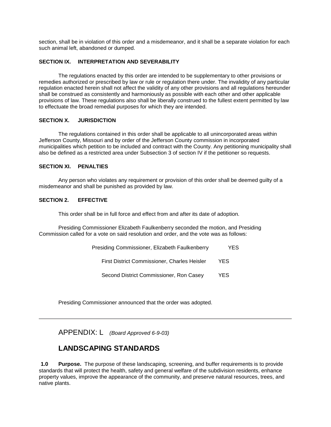section, shall be in violation of this order and a misdemeanor, and it shall be a separate violation for each such animal left, abandoned or dumped.

#### **SECTION IX. INTERPRETATION AND SEVERABILITY**

The regulations enacted by this order are intended to be supplementary to other provisions or remedies authorized or prescribed by law or rule or regulation there under. The invalidity of any particular regulation enacted herein shall not affect the validity of any other provisions and all regulations hereunder shall be construed as consistently and harmoniously as possible with each other and other applicable provisions of law. These regulations also shall be liberally construed to the fullest extent permitted by law to effectuate the broad remedial purposes for which they are intended.

#### **SECTION X. JURISDICTION**

The regulations contained in this order shall be applicable to all unincorporated areas within Jefferson County, Missouri and by order of the Jefferson County commission in incorporated municipalities which petition to be included and contract with the County. Any petitioning municipality shall also be defined as a restricted area under Subsection 3 of section IV if the petitioner so requests.

### **SECTION XI. PENALTIES**

Any person who violates any requirement or provision of this order shall be deemed guilty of a misdemeanor and shall be punished as provided by law.

#### **SECTION 2. EFFECTIVE**

This order shall be in full force and effect from and after its date of adoption.

Presiding Commissioner Elizabeth Faulkenberry seconded the motion, and Presiding Commission called for a vote on said resolution and order, and the vote was as follows:

| Presiding Commissioner, Elizabeth Faulkenberry | YES. |  |
|------------------------------------------------|------|--|
| First District Commissioner, Charles Heisler   | YES  |  |
| Second District Commissioner, Ron Casey        | YES. |  |

Presiding Commissioner announced that the order was adopted.

APPENDIX: L *(Board Approved 6-9-03)*

### **LANDSCAPING STANDARDS**

**1.0 Purpose.** The purpose of these landscaping, screening, and buffer requirements is to provide standards that will protect the health, safety and general welfare of the subdivision residents, enhance property values, improve the appearance of the community, and preserve natural resources, trees, and native plants.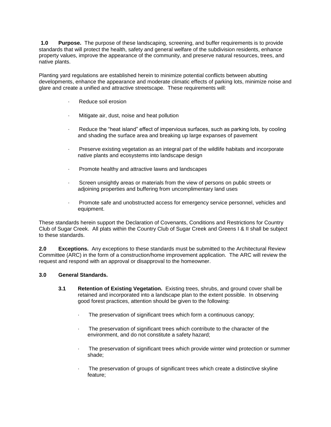**1.0 Purpose.** The purpose of these landscaping, screening, and buffer requirements is to provide standards that will protect the health, safety and general welfare of the subdivision residents, enhance property values, improve the appearance of the community, and preserve natural resources, trees, and native plants.

Planting yard regulations are established herein to minimize potential conflicts between abutting developments, enhance the appearance and moderate climatic effects of parking lots, minimize noise and glare and create a unified and attractive streetscape. These requirements will:

- Reduce soil erosion
- Mitigate air, dust, noise and heat pollution
- · Reduce the "heat island" effect of impervious surfaces, such as parking lots, by cooling and shading the surface area and breaking up large expanses of pavement
- · Preserve existing vegetation as an integral part of the wildlife habitats and incorporate native plants and ecosystems into landscape design
- Promote healthy and attractive lawns and landscapes
- · Screen unsightly areas or materials from the view of persons on public streets or adjoining properties and buffering from uncomplimentary land uses
- · Promote safe and unobstructed access for emergency service personnel, vehicles and equipment.

These standards herein support the Declaration of Covenants, Conditions and Restrictions for Country Club of Sugar Creek. All plats within the Country Club of Sugar Creek and Greens I & II shall be subject to these standards.

**2.0 Exceptions.** Any exceptions to these standards must be submitted to the Architectural Review Committee (ARC) in the form of a construction/home improvement application. The ARC will review the request and respond with an approval or disapproval to the homeowner.

#### **3.0 General Standards.**

- **3.1 Retention of Existing Vegetation.** Existing trees, shrubs, and ground cover shall be retained and incorporated into a landscape plan to the extent possible. In observing good forest practices, attention should be given to the following:
	- The preservation of significant trees which form a continuous canopy;
	- The preservation of significant trees which contribute to the character of the environment, and do not constitute a safety hazard;
	- The preservation of significant trees which provide winter wind protection or summer shade;
	- The preservation of groups of significant trees which create a distinctive skyline feature;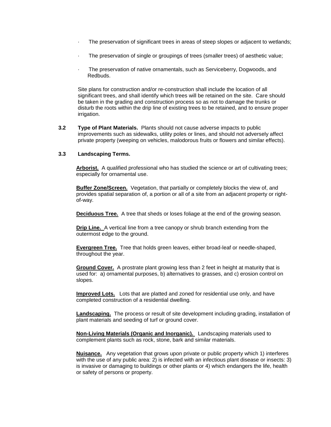- The preservation of significant trees in areas of steep slopes or adjacent to wetlands;
- · The preservation of single or groupings of trees (smaller trees) of aesthetic value;
- · The preservation of native ornamentals, such as Serviceberry, Dogwoods, and Redbuds.

Site plans for construction and/or re-construction shall include the location of all significant trees, and shall identify which trees will be retained on the site. Care should be taken in the grading and construction process so as not to damage the trunks or disturb the roots within the drip line of existing trees to be retained, and to ensure proper irrigation.

**3.2 Type of Plant Materials.** Plants should not cause adverse impacts to public improvements such as sidewalks, utility poles or lines, and should not adversely affect private property (weeping on vehicles, malodorous fruits or flowers and similar effects).

#### **3.3 Landscaping Terms.**

**Arborist.** A qualified professional who has studied the science or art of cultivating trees; especially for ornamental use.

**Buffer Zone/Screen.** Vegetation, that partially or completely blocks the view of, and provides spatial separation of, a portion or all of a site from an adjacent property or rightof-way.

**Deciduous Tree.** A tree that sheds or loses foliage at the end of the growing season.

**Drip Line.** A vertical line from a tree canopy or shrub branch extending from the outermost edge to the ground.

**Evergreen Tree.** Tree that holds green leaves, either broad-leaf or needle-shaped, throughout the year.

**Ground Cover.** A prostrate plant growing less than 2 feet in height at maturity that is used for: a) ornamental purposes, b) alternatives to grasses, and c) erosion control on slopes.

**Improved Lots.** Lots that are platted and zoned for residential use only, and have completed construction of a residential dwelling.

**Landscaping.** The process or result of site development including grading, installation of plant materials and seeding of turf or ground cover.

**Non-Living Materials (Organic and Inorganic).** Landscaping materials used to complement plants such as rock, stone, bark and similar materials.

**Nuisance.** Any vegetation that grows upon private or public property which 1) interferes with the use of any public area: 2) is infected with an infectious plant disease or insects: 3) is invasive or damaging to buildings or other plants or 4) which endangers the life, health or safety of persons or property.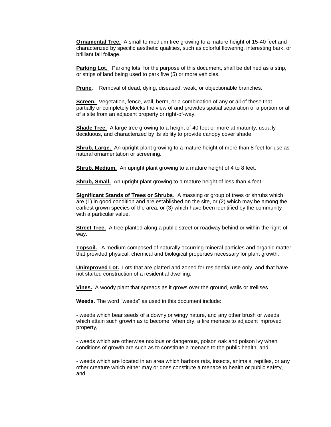**Ornamental Tree.** A small to medium tree growing to a mature height of 15-40 feet and characterized by specific aesthetic qualities, such as colorful flowering, interesting bark, or brilliant fall foliage.

**Parking Lot.** Parking lots, for the purpose of this document, shall be defined as a strip, or strips of land being used to park five (5) or more vehicles.

**Prune.** Removal of dead, dying, diseased, weak, or objectionable branches.

**Screen.** Vegetation, fence, wall, berm, or a combination of any or all of these that partially or completely blocks the view of and provides spatial separation of a portion or all of a site from an adjacent property or right-of-way.

**Shade Tree.** A large tree growing to a height of 40 feet or more at maturity, usually deciduous, and characterized by its ability to provide canopy cover shade.

**Shrub, Large.** An upright plant growing to a mature height of more than 8 feet for use as natural ornamentation or screening.

**Shrub, Medium.** An upright plant growing to a mature height of 4 to 8 feet.

**Shrub, Small.** An upright plant growing to a mature height of less than 4 feet.

**Significant Stands of Trees or Shrubs**.A massing or group of trees or shrubs which are (1) in good condition and are established on the site, or (2) which may be among the earliest grown species of the area, or (3) which have been identified by the community with a particular value.

**Street Tree.** A tree planted along a public street or roadway behind or within the right-ofway.

**Topsoil.** A medium composed of naturally occurring mineral particles and organic matter that provided physical, chemical and biological properties necessary for plant growth.

**Unimproved Lot.** Lots that are platted and zoned for residential use only, and that have not started construction of a residential dwelling.

**Vines.** A woody plant that spreads as it grows over the ground, walls or trellises.

**Weeds.** The word "weeds" as used in this document include:

- weeds which bear seeds of a downy or wingy nature, and any other brush or weeds which attain such growth as to become, when dry, a fire menace to adjacent improved property,

- weeds which are otherwise noxious or dangerous, poison oak and poison ivy when conditions of growth are such as to constitute a menace to the public health, and

- weeds which are located in an area which harbors rats, insects, animals, reptiles, or any other creature which either may or does constitute a menace to health or public safety, and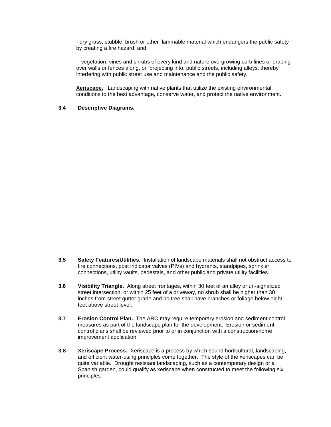- dry grass, stubble, brush or other flammable material which endangers the public safety by creating a fire hazard; and

- vegetation, vines and shrubs of every kind and nature overgrowing curb lines or draping over walls or fences along, or projecting into, public streets, including alleys, thereby interfering with public street use and maintenance and the public safety.

**Xeriscape.** Landscaping with native plants that utilize the existing environmental conditions to the best advantage, conserve water, and protect the native environment.

#### **3.4 Descriptive Diagrams.**

- **3.5 Safety Features/Utilities.** Installation of landscape materials shall not obstruct access to fire connections, post indicator valves (PIVs) and hydrants, standpipes, sprinkler connections, utility vaults, pedestals, and other public and private utility facilities.
- **3.6 Visibility Triangle.** Along street frontages, within 30 feet of an alley or un-signalized street intersection, or within 25 feet of a driveway, no shrub shall be higher than 30 inches from street gutter grade and no tree shall have branches or foliage below eight feet above street level.
- **3.7 Erosion Control Plan.** The ARC may require temporary erosion and sediment control measures as part of the landscape plan for the development. Erosion or sediment control plans shall be reviewed prior to or in conjunction with a construction/home improvement application.
- **3.8 Xeriscape Process.** Xeriscape is a process by which sound horticultural, landscaping, and efficient water-using principles come together. The style of the xeriscapes can be quite variable. Drought resistant landscaping, such as a contemporary design or a Spanish garden, could qualify as xeriscape when constructed to meet the following six principles: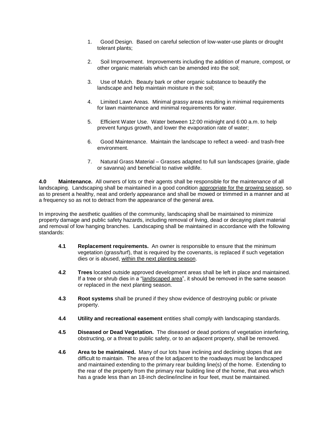- 1. Good Design. Based on careful selection of low-water-use plants or drought tolerant plants;
- 2. Soil Improvement. Improvements including the addition of manure, compost, or other organic materials which can be amended into the soil;
- 3. Use of Mulch. Beauty bark or other organic substance to beautify the landscape and help maintain moisture in the soil;
- 4. Limited Lawn Areas. Minimal grassy areas resulting in minimal requirements for lawn maintenance and minimal requirements for water.
- 5. Efficient Water Use. Water between 12:00 midnight and 6:00 a.m. to help prevent fungus growth, and lower the evaporation rate of water;
- 6. Good Maintenance. Maintain the landscape to reflect a weed- and trash-free environment.
- 7. Natural Grass Material Grasses adapted to full sun landscapes (prairie, glade or savanna) and beneficial to native wildlife.

**4.0 Maintenance.** All owners of lots or their agents shall be responsible for the maintenance of all landscaping. Landscaping shall be maintained in a good condition appropriate for the growing season, so as to present a healthy, neat and orderly appearance and shall be mowed or trimmed in a manner and at a frequency so as not to detract from the appearance of the general area.

In improving the aesthetic qualities of the community, landscaping shall be maintained to minimize property damage and public safety hazards, including removal of living, dead or decaying plant material and removal of low hanging branches. Landscaping shall be maintained in accordance with the following standards:

- **4.1 Replacement requirements.** An owner is responsible to ensure that the minimum vegetation (grass/turf), that is required by the covenants, is replaced if such vegetation dies or is abused, within the next planting season.
- **4.2 Trees** located outside approved development areas shall be left in place and maintained. If a tree or shrub dies in a "landscaped area", it should be removed in the same season or replaced in the next planting season.
- **4.3 Root systems** shall be pruned if they show evidence of destroying public or private property.
- **4.4 Utility and recreational easement** entities shall comply with landscaping standards.
- **4.5 Diseased or Dead Vegetation.** The diseased or dead portions of vegetation interfering, obstructing, or a threat to public safety, or to an adjacent property, shall be removed.
- **4.6 Area to be maintained.** Many of our lots have inclining and declining slopes that are difficult to maintain. The area of the lot adjacent to the roadways must be landscaped and maintained extending to the primary rear building line(s) of the home. Extending to the rear of the property from the primary rear building line of the home, that area which has a grade less than an 18-inch decline/incline in four feet, must be maintained.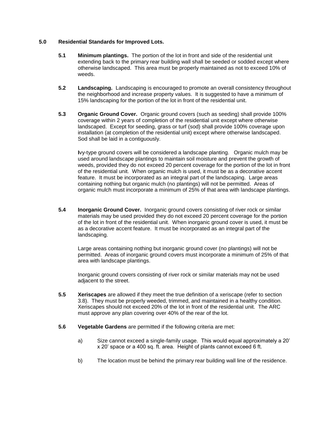### **5.0 Residential Standards for Improved Lots.**

- **5.1 Minimum plantings.** The portion of the lot in front and side of the residential unit extending back to the primary rear building wall shall be seeded or sodded except where otherwise landscaped. This area must be properly maintained as not to exceed 10% of weeds.
- **5.2 Landscaping.** Landscaping is encouraged to promote an overall consistency throughout the neighborhood and increase property values. It is suggested to have a minimum of 15% landscaping for the portion of the lot in front of the residential unit.
- **5.3 Organic Ground Cover.** Organic ground covers (such as seeding) shall provide 100% coverage within 2 years of completion of the residential unit except where otherwise landscaped. Except for seeding, grass or turf (sod) shall provide 100% coverage upon installation (at completion of the residential unit) except where otherwise landscaped. Sod shall be laid in a contiguously.

**I**vy-type ground covers will be considered a landscape planting. Organic mulch may be used around landscape plantings to maintain soil moisture and prevent the growth of weeds, provided they do not exceed 20 percent coverage for the portion of the lot in front of the residential unit. When organic mulch is used, it must be as a decorative accent feature. It must be incorporated as an integral part of the landscaping. Large areas containing nothing but organic mulch (no plantings) will not be permitted. Areas of organic mulch must incorporate a minimum of 25% of that area with landscape plantings.

**5.4 Inorganic Ground Cover.** Inorganic ground covers consisting of river rock or similar materials may be used provided they do not exceed 20 percent coverage for the portion of the lot in front of the residential unit. When inorganic ground cover is used, it must be as a decorative accent feature. It must be incorporated as an integral part of the landscaping.

Large areas containing nothing but inorganic ground cover (no plantings) will not be permitted. Areas of inorganic ground covers must incorporate a minimum of 25% of that area with landscape plantings.

Inorganic ground covers consisting of river rock or similar materials may not be used adjacent to the street.

- **5.5 Xeriscapes** are allowed if they meet the true definition of a xeriscape (refer to section 3.8). They must be properly weeded, trimmed, and maintained in a healthy condition. Xeriscapes should not exceed 20% of the lot in front of the residential unit. The ARC must approve any plan covering over 40% of the rear of the lot.
- **5.6 Vegetable Gardens** are permitted if the following criteria are met:
	- a) Size cannot exceed a single-family usage. This would equal approximately a 20' x 20' space or a 400 sq. ft. area. Height of plants cannot exceed 6 ft.
	- b) The location must be behind the primary rear building wall line of the residence.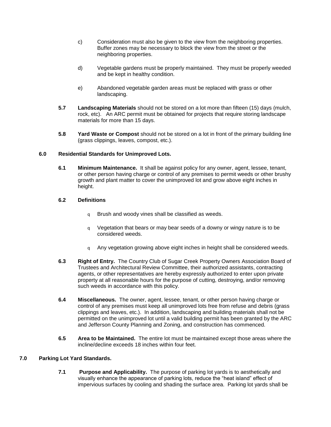- c) Consideration must also be given to the view from the neighboring properties. Buffer zones may be necessary to block the view from the street or the neighboring properties.
- d) Vegetable gardens must be properly maintained. They must be properly weeded and be kept in healthy condition.
- e) Abandoned vegetable garden areas must be replaced with grass or other landscaping.
- **5.7 Landscaping Materials** should not be stored on a lot more than fifteen (15) days (mulch, rock, etc). An ARC permit must be obtained for projects that require storing landscape materials for more than 15 days.
- **5.8 Yard Waste or Compost** should not be stored on a lot in front of the primary building line (grass clippings, leaves, compost, etc.).

### **6.0 Residential Standards for Unimproved Lots.**

**6.1 Minimum Maintenance.** It shall be against policy for any owner, agent, lessee, tenant, or other person having charge or control of any premises to permit weeds or other brushy growth and plant matter to cover the unimproved lot and grow above eight inches in height.

### **6.2 Definitions**

- q Brush and woody vines shall be classified as weeds.
- q Vegetation that bears or may bear seeds of a downy or wingy nature is to be considered weeds.
- q Any vegetation growing above eight inches in height shall be considered weeds.
- **6.3 Right of Entry.** The Country Club of Sugar Creek Property Owners Association Board of Trustees and Architectural Review Committee, their authorized assistants, contracting agents, or other representatives are hereby expressly authorized to enter upon private property at all reasonable hours for the purpose of cutting, destroying, and/or removing such weeds in accordance with this policy.
- **6.4 Miscellaneous.** The owner, agent, lessee, tenant, or other person having charge or control of any premises must keep all unimproved lots free from refuse and debris (grass clippings and leaves, etc.). In addition, landscaping and building materials shall not be permitted on the unimproved lot until a valid building permit has been granted by the ARC and Jefferson County Planning and Zoning, and construction has commenced.
- **6.5 Area to be Maintained.** The entire lot must be maintained except those areas where the incline/decline exceeds 18 inches within four feet.

#### **7.0 Parking Lot Yard Standards.**

**7.1 Purpose and Applicability.** The purpose of parking lot yards is to aesthetically and visually enhance the appearance of parking lots, reduce the "heat island" effect of impervious surfaces by cooling and shading the surface area. Parking lot yards shall be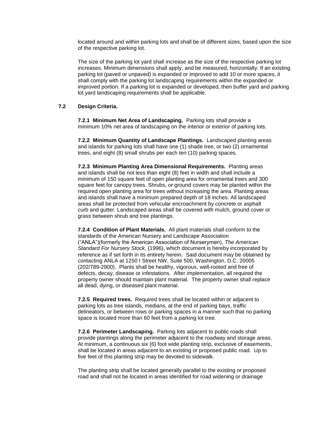located around and within parking lots and shall be of different sizes, based upon the size of the respective parking lot.

The size of the parking lot yard shall increase as the size of the respective parking lot increases. Minimum dimensions shall apply, and be measured, horizontally. If an existing parking lot (paved or unpaved) is expanded or improved to add 10 or more spaces, it shall comply with the parking lot landscaping requirements within the expanded or improved portion. If a parking lot is expanded or developed, then buffer yard and parking lot yard landscaping requirements shall be applicable.

### **7.2 Design Criteria.**

**7.2.1 Minimum Net Area of Landscaping.** Parking lots shall provide a minimum 10% net area of landscaping on the interior or exterior of parking lots.

**7.2.2 Minimum Quantity of Landscape Plantings.** Landscaped planting areas and islands for parking lots shall have one (1) shade tree, or two (2) ornamental trees, and eight (8) small shrubs per each ten (10) parking spaces.

**7.2.3 Minimum Planting Area Dimensional Requirements.** Planting areas and islands shall be not less than eight (8) feet in width and shall include a minimum of 150 square feet of open planting area for ornamental trees and 300 square feet for canopy trees. Shrubs, or ground covers may be planted within the required open planting area for trees without increasing the area. Planting areas and islands shall have a minimum prepared depth of 18 inches. All landscaped areas shall be protected from vehicular encroachment by concrete or asphalt curb and gutter. Landscaped areas shall be covered with mulch, ground cover or grass between shrub and tree plantings.

**7.2.4 Condition of Plant Materials.** All plant materials shall conform to the standards of the American Nursery and Landscape Association ("ANLA")(formerly the American Association of Nurserymen), *The American Standard For Nursery Stock,* (1996), which document is hereby incorporated by reference as if set forth in its entirety herein. Said document may be obtained by contacting ANLA at 1250 I Street NW, Suite 500, Washington, D.C. 20005 (202/789-2900). Plants shall be healthy, vigorous, well-rooted and free of defects, decay, disease or infestations. After implementation, all required the property owner should maintain plant material. The property owner shall replace all dead, dying, or diseased plant material.

**7.2.5 Required trees.** Required trees shall be located within or adjacent to parking lots as tree islands, medians, at the end of parking bays, traffic delineators, or between rows or parking spaces in a manner such that no parking space is located more than 60 feet from a parking lot tree.

**7.2.6 Perimeter Landscaping.** Parking lots adjacent to public roads shall provide plantings along the perimeter adjacent to the roadway and storage areas. At minimum, a continuous six (6) foot wide planting strip, exclusive of easements, shall be located in areas adjacent to an existing or proposed public road. Up to five feet of this planting strip may be devoted to sidewalk.

The planting strip shall be located generally parallel to the existing or proposed road and shall not be located in areas identified for road widening or drainage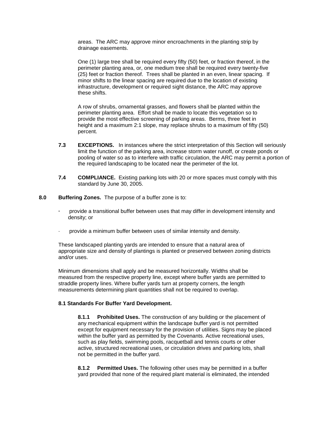areas. The ARC may approve minor encroachments in the planting strip by drainage easements.

One (1) large tree shall be required every fifty (50) feet, or fraction thereof, in the perimeter planting area, or, one medium tree shall be required every twenty-five (25) feet or fraction thereof. Trees shall be planted in an even, linear spacing. If minor shifts to the linear spacing are required due to the location of existing infrastructure, development or required sight distance, the ARC may approve these shifts.

A row of shrubs, ornamental grasses, and flowers shall be planted within the perimeter planting area. Effort shall be made to locate this vegetation so to provide the most effective screening of parking areas. Berms, three feet in height and a maximum 2:1 slope, may replace shrubs to a maximum of fifty (50) percent.

- **7.3 EXCEPTIONS.** In instances where the strict interpretation of this Section will seriously limit the function of the parking area, increase storm water runoff, or create ponds or pooling of water so as to interfere with traffic circulation, the ARC may permit a portion of the required landscaping to be located near the perimeter of the lot.
- **7.4 COMPLIANCE.** Existing parking lots with 20 or more spaces must comply with this standard by June 30, 2005.
- **8.0 Buffering Zones.** The purpose of a buffer zone is to:
	- **·** provide a transitional buffer between uses that may differ in development intensity and density; or
	- · provide a minimum buffer between uses of similar intensity and density.

These landscaped planting yards are intended to ensure that a natural area of appropriate size and density of plantings is planted or preserved between zoning districts and/or uses.

Minimum dimensions shall apply and be measured horizontally. Widths shall be measured from the respective property line, except where buffer yards are permitted to straddle property lines. Where buffer yards turn at property corners, the length measurements determining plant quantities shall not be required to overlap.

#### **8.1 Standards For Buffer Yard Development.**

**8.1.1 Prohibited Uses.** The construction of any building or the placement of any mechanical equipment within the landscape buffer yard is not permitted except for equipment necessary for the provision of utilities. Signs may be placed within the buffer yard as permitted by the Covenants. Active recreational uses, such as play fields, swimming pools, racquetball and tennis courts or other active, structured recreational uses, or circulation drives and parking lots, shall not be permitted in the buffer yard.

**8.1.2 Permitted Uses.** The following other uses may be permitted in a buffer yard provided that none of the required plant material is eliminated, the intended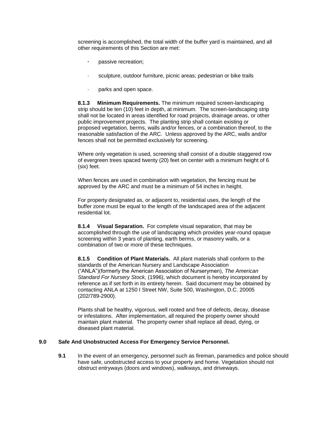screening is accomplished, the total width of the buffer yard is maintained, and all other requirements of this Section are met:

- **·** passive recreation;
- sculpture, outdoor furniture, picnic areas; pedestrian or bike trails
- parks and open space.

**8.1.3 Minimum Requirements.** The minimum required screen-landscaping strip should be ten (10) feet in depth, at minimum. The screen-landscaping strip shall not be located in areas identified for road projects, drainage areas, or other public improvement projects. The planting strip shall contain existing or proposed vegetation, berms, walls and/or fences, or a combination thereof, to the reasonable satisfaction of the ARC. Unless approved by the ARC, walls and/or fences shall not be permitted exclusively for screening.

Where only vegetation is used, screening shall consist of a double staggered row of evergreen trees spaced twenty (20) feet on center with a minimum height of 6 (six) feet.

When fences are used in combination with vegetation, the fencing must be approved by the ARC and must be a minimum of 54 inches in height.

For property designated as, or adjacent to, residential uses, the length of the buffer zone must be equal to the length of the landscaped area of the adjacent residential lot.

**8.1.4 Visual Separation.** For complete visual separation, that may be accomplished through the use of landscaping which provides year-round opaque screening within 3 years of planting, earth berms, or masonry walls, or a combination of two or more of these techniques.

**8.1.5 Condition of Plant Materials.** All plant materials shall conform to the standards of the American Nursery and Landscape Association ("ANLA")(formerly the American Association of Nurserymen), *The American Standard For Nursery Stock,* (1996), which document is hereby incorporated by reference as if set forth in its entirety herein. Said document may be obtained by contacting ANLA at 1250 I Street NW, Suite 500, Washington, D.C. 20005 (202/789-2900).

Plants shall be healthy, vigorous, well rooted and free of defects, decay, disease or infestations. After implementation, all required the property owner should maintain plant material. The property owner shall replace all dead, dying, or diseased plant material.

#### **9.0 Safe And Unobstructed Access For Emergency Service Personnel.**

**9.1** In the event of an emergency, personnel such as fireman, paramedics and police should have safe, unobstructed access to your property and home. Vegetation should not obstruct entryways (doors and windows), walkways, and driveways.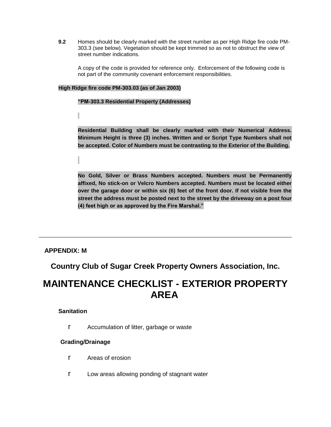**9.2** Homes should be clearly marked with the street number as per High Ridge fire code PM-303.3 (see below). Vegetation should be kept trimmed so as not to obstruct the view of street number indications.

A copy of the code is provided for reference only. Enforcement of the following code is not part of the community covenant enforcement responsibilities.

### **High Ridge fire code PM-303.03 (as of Jan 2003)**

#### **"PM-303.3 Residential Property (Addresses)**

**Residential Building shall be clearly marked with their Numerical Address. Minimum Height is three (3) inches. Written and or Script Type Numbers shall not be accepted. Color of Numbers must be contrasting to the Exterior of the Building.** 

**No Gold, Silver or Brass Numbers accepted. Numbers must be Permanently affixed, No stick-on or Velcro Numbers accepted. Numbers must be located either over the garage door or within six (6) feet of the front door. If not visible from the street the address must be posted next to the street by the driveway on a post four (4) feet high or as approved by the Fire Marshal."**

### **APPENDIX: M**

**Country Club of Sugar Creek Property Owners Association, Inc.**

# **MAINTENANCE CHECKLIST - EXTERIOR PROPERTY AREA**

### **Sanitation**

r Accumulation of litter, garbage or waste

### **Grading/Drainage**

- r Areas of erosion
- r Low areas allowing ponding of stagnant water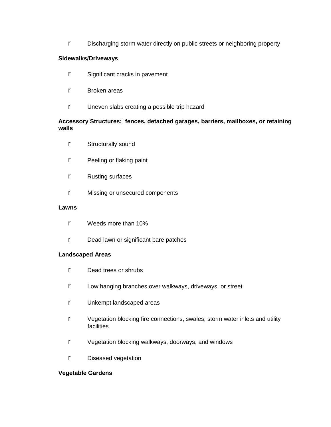r Discharging storm water directly on public streets or neighboring property

### **Sidewalks/Driveways**

- r Significant cracks in pavement
- r Broken areas
- r Uneven slabs creating a possible trip hazard

### **Accessory Structures: fences, detached garages, barriers, mailboxes, or retaining walls**

- r Structurally sound
- r Peeling or flaking paint
- r Rusting surfaces
- r Missing or unsecured components

### **Lawns**

- r Weeds more than 10%
- r Dead lawn or significant bare patches

### **Landscaped Areas**

- r Dead trees or shrubs
- r Low hanging branches over walkways, driveways, or street
- r Unkempt landscaped areas
- r Vegetation blocking fire connections, swales, storm water inlets and utility **facilities**
- r Vegetation blocking walkways, doorways, and windows
- r Diseased vegetation

### **Vegetable Gardens**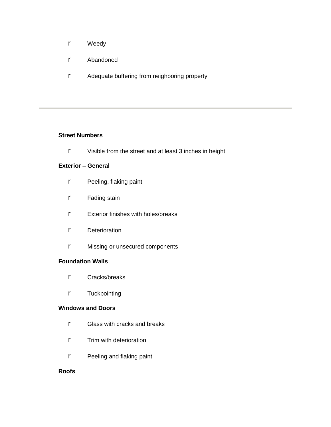- r Weedy
- r Abandoned
- r Adequate buffering from neighboring property

### **Street Numbers**

r Visible from the street and at least 3 inches in height

### **Exterior – General**

- r Peeling, flaking paint
- r Fading stain
- r Exterior finishes with holes/breaks
- r Deterioration
- r Missing or unsecured components

### **Foundation Walls**

- r Cracks/breaks
- r Tuckpointing

### **Windows and Doors**

- r Glass with cracks and breaks
- r Trim with deterioration
- r Peeling and flaking paint

### **Roofs**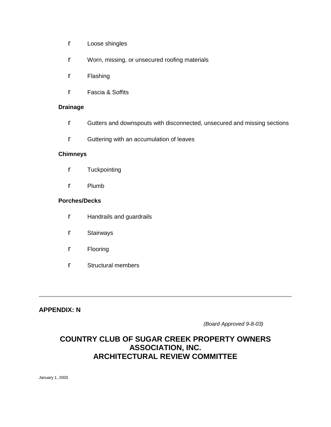- r Loose shingles
- r Worn, missing, or unsecured roofing materials
- r Flashing
- r Fascia & Soffits

### **Drainage**

- r Gutters and downspouts with disconnected, unsecured and missing sections
- r Guttering with an accumulation of leaves

### **Chimneys**

- r Tuckpointing
- r Plumb

### **Porches/Decks**

- r Handrails and guardrails
- r Stairways
- r Flooring
- r Structural members

**APPENDIX: N**

*(Board Approved 9-8-03)*

### **COUNTRY CLUB OF SUGAR CREEK PROPERTY OWNERS ASSOCIATION, INC. ARCHITECTURAL REVIEW COMMITTEE**